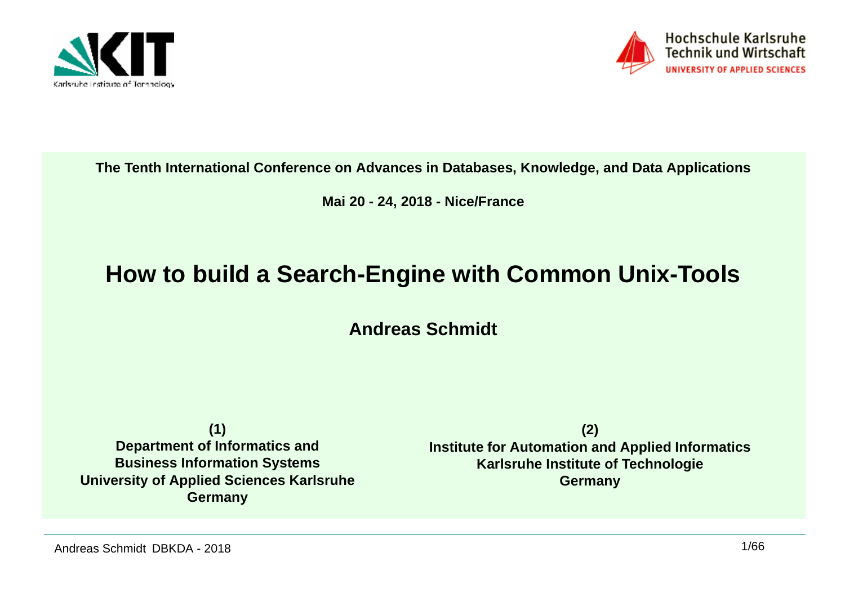



#### **The Tenth International Conference on Advances in Databases, Knowledge, and Data Applications**

#### **Mai 20 - 24, 2018 - Nice/France**

#### **How to build a Search-Engine with Common Unix-Tools**

**Andreas Schmidt**

**(1) Department of Informatics and Business Information Systems University of Applied Sciences KarlsruheGermany**

**(2) Institute for Automation and Applied InformaticsKarlsruhe Institute of TechnologieGermany**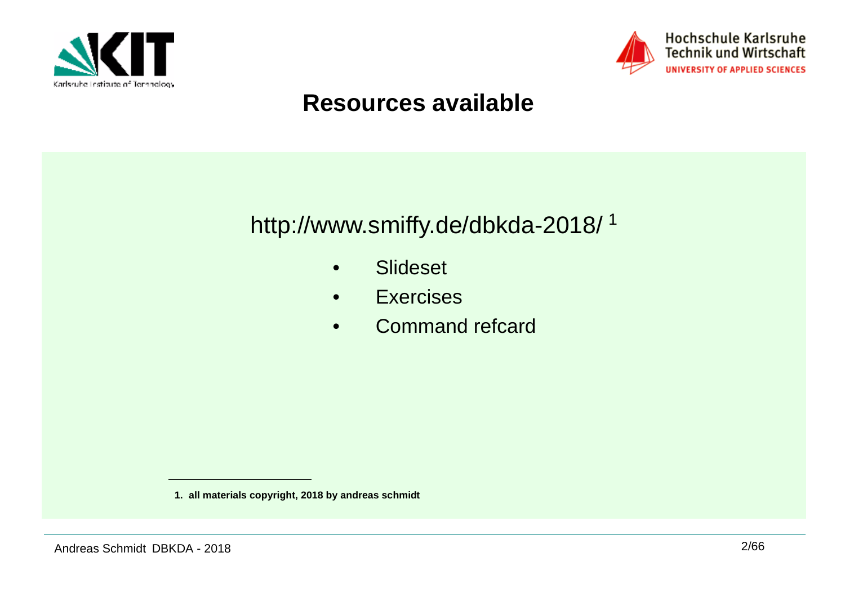



## **Resources available**



- •Slideset
- •**Exercises**
- •Command refcard

**<sup>1.</sup> all materials copyright, 2018 by andreas schmidt**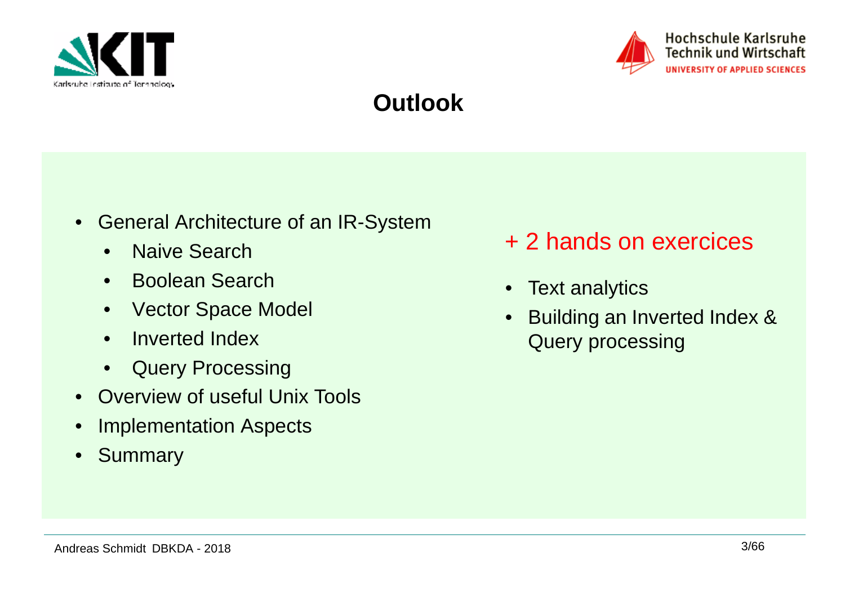



## **Outlook**

- • General Architecture of an IR-System
	- •Naive Search
	- •Boolean Search
	- $\bullet$ Vector Space Model
	- Inverted Index
	- $\bullet$ Query Processing
- Overview of useful Unix Tools
- •Implementation Aspects
- •Summary
- + 2 hands on exercices
- Text analytics
- $\bullet$  Building an Inverted Index & Query processing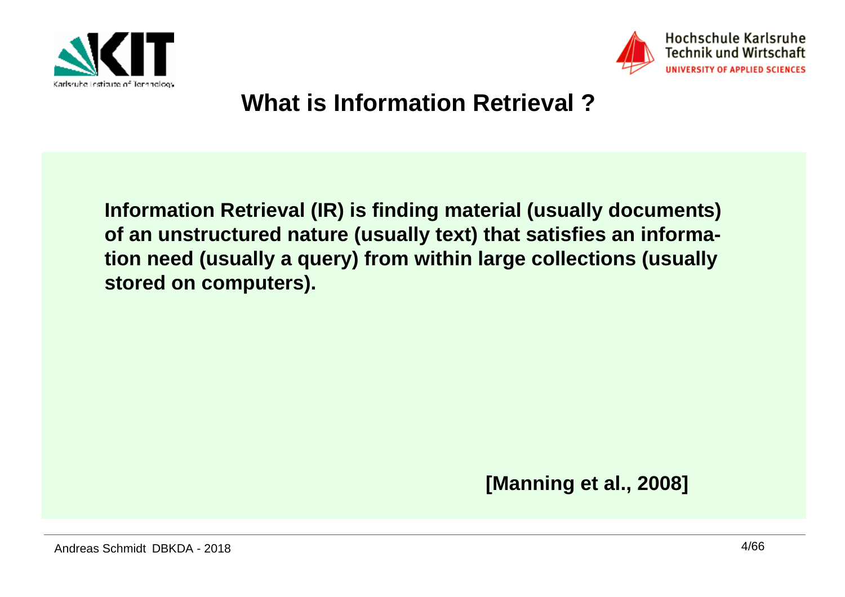



## **What is Information Retrieval ?**

**Information Retrieval (IR) is finding material (usually documents) of an unstructured nature (usually text) that satisfies an information need (usually a query) from within large collections (usually stored on computers).**

**[Manning et al., 2008]**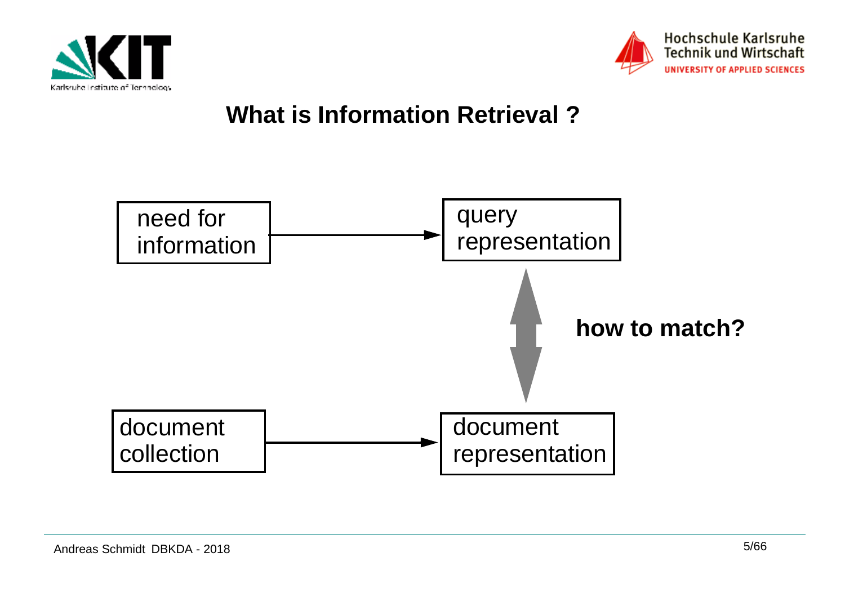



## **What is Information Retrieval ?**

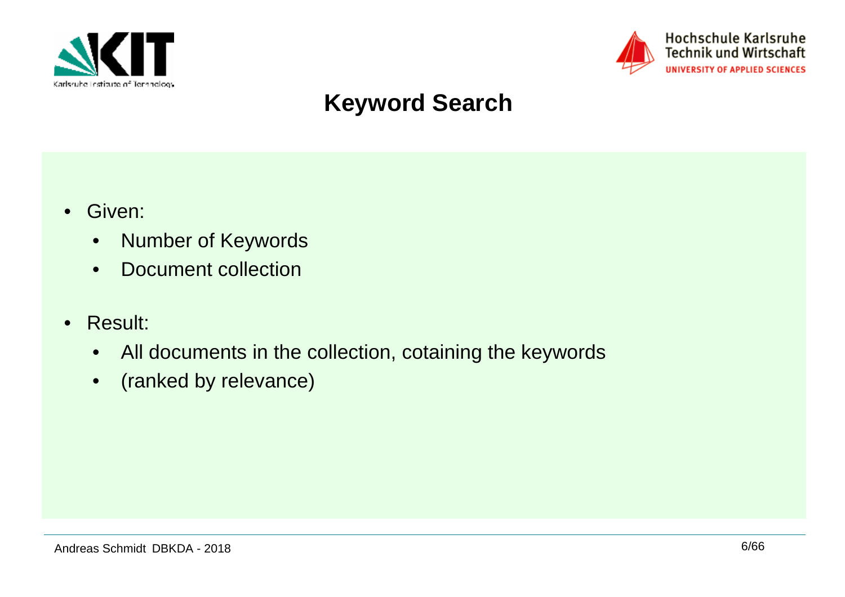



## **Keyword Search**

- • Given:
	- •Number of Keywords
	- •Document collection
- • Result:
	- •All documents in the collection, cotaining the keywords
	- •(ranked by relevance)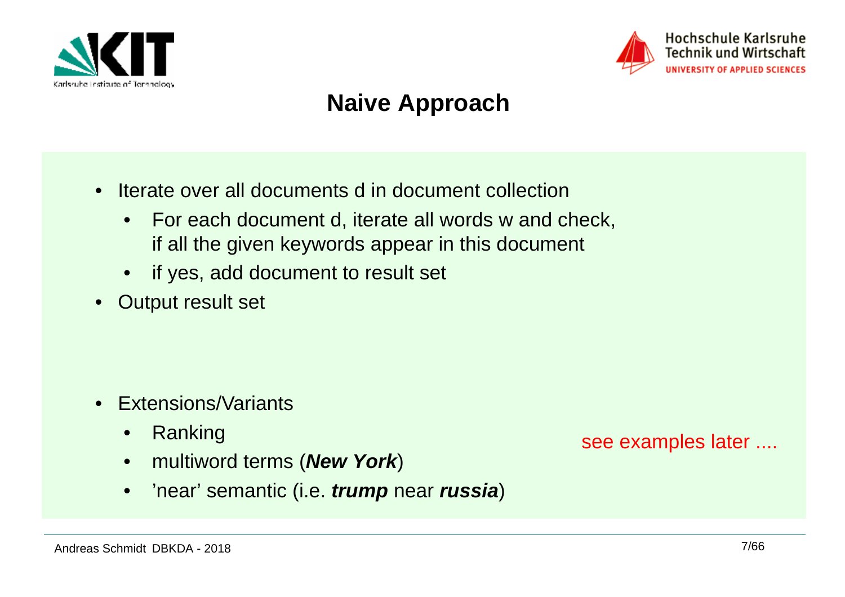



## **Naive Approach**

- • Iterate over all documents d in document collection
	- $\bullet$  For each document d, iterate all words w and check, if all the given keywords appear in this document
	- if yes, add document to result set
- $\bullet$ Output result set

- Extensions/Variants
	- •Ranking
	- •multiword terms (**New York**)
	- •'near' semantic (i.e. **trump** near **russia**)

see examples later ....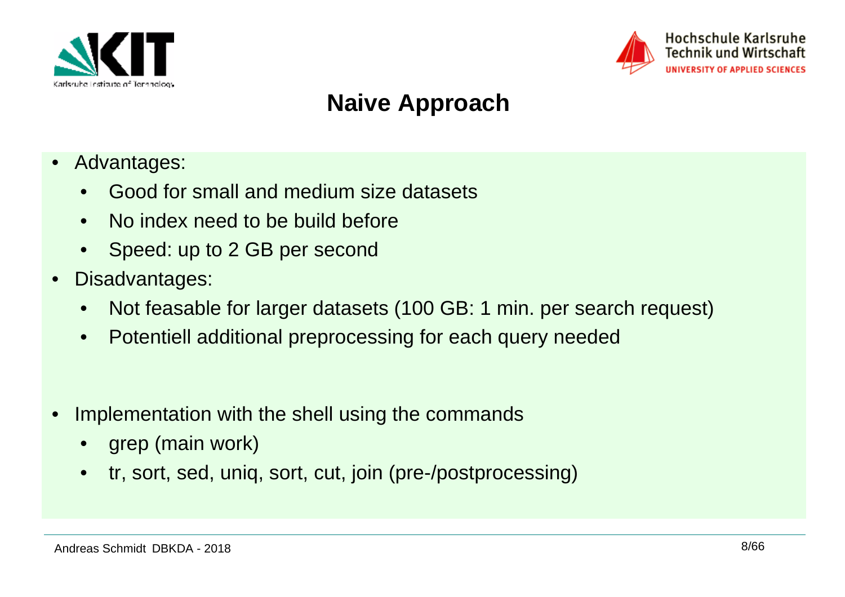



## **Naive Approach**

- • Advantages:
	- Good for small and medium size datasets
	- No index need to be build before
	- Speed: up to 2 GB per second
- • Disadvantages:
	- $\bullet$ Not feasable for larger datasets (100 GB: 1 min. per search request)
	- Potentiell additional preprocessing for each query needed
- • Implementation with the shell using the commands
	- grep (main work)
	- tr, sort, sed, uniq, sort, cut, join (pre-/postprocessing)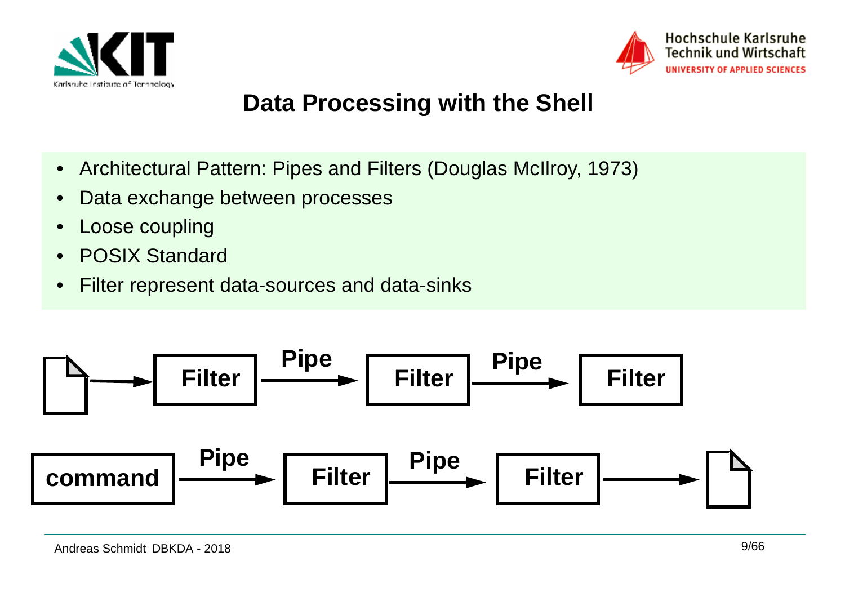



## **Data Processing with the Shell**

- $\bullet$ Architectural Pattern: Pipes and Filters (Douglas McIlroy, 1973)
- $\bullet$ Data exchange between processes
- •Loose coupling
- •POSIX Standard
- $\bullet$ Filter represent data-sources and data-sinks

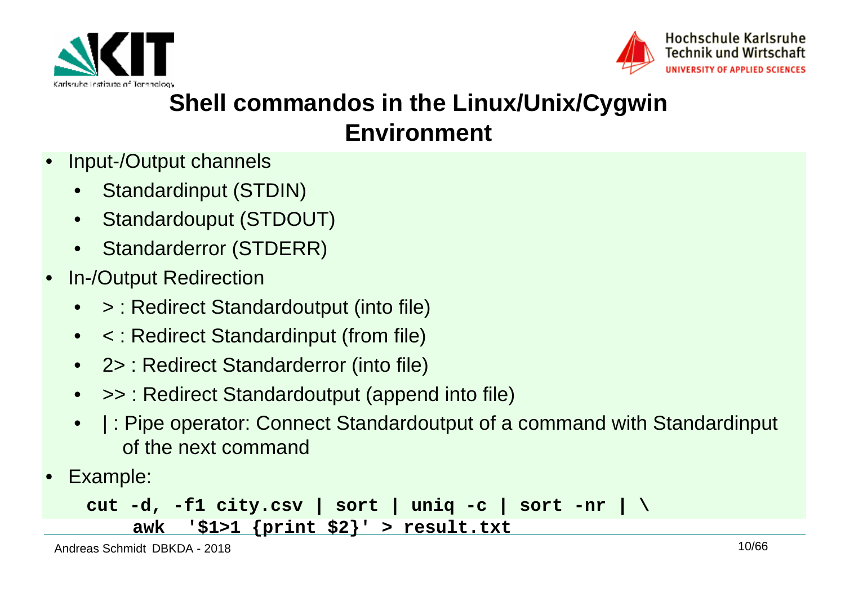



## **Shell commandos in the Linux/Unix/Cygwin Environment**

- • Input-/Output channels
	- •Standardinput (STDIN)
	- •Standardouput (STDOUT)
	- •Standarderror (STDERR)
- • In-/Output Redirection
	- $\bullet$ > : Redirect Standardoutput (into file)
	- < : Redirect Standardinput (from file)
	- 2> : Redirect Standarderror (into file)
	- •>> : Redirect Standardoutput (append into file)
	- • | : Pipe operator: Connect Standardoutput of a command with Standardinput of the next command
- •Example:

```
cut -d, -f1 city.csv | sort | uniq -c | sort -nr | \awk '$1>1 {print $2}' > result.txt
```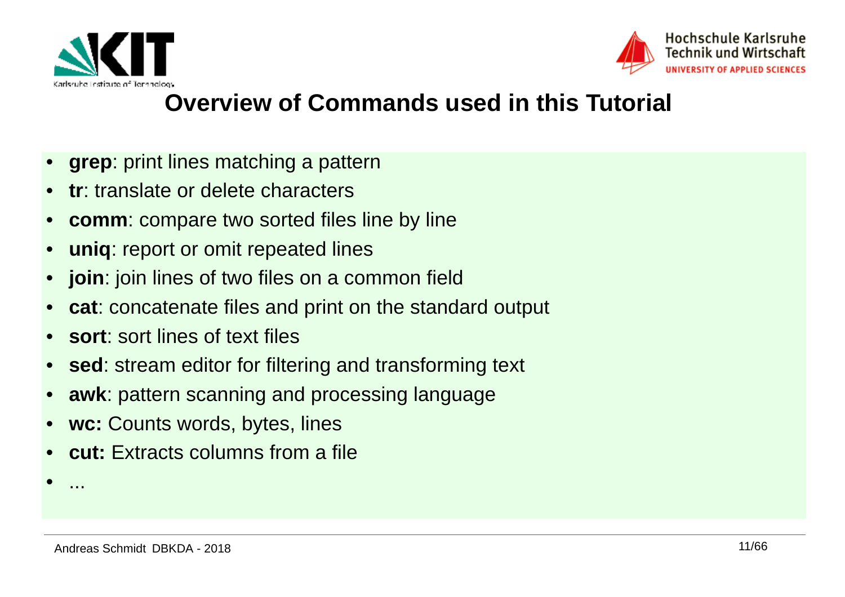



## **Overview of Commands used in this Tutorial**

- •**grep**: print lines matching a pattern
- •**tr**: translate or delete characters
- •**comm**: compare two sorted files line by line
- •**uniq**: report or omit repeated lines
- •**join**: join lines of two files on a common field
- •**cat**: concatenate files and print on the standard output
- •**sort**: sort lines of text files
- •**sed**: stream editor for filtering and transforming text
- •**awk**: pattern scanning and processing language
- •**wc:** Counts words, bytes, lines
- •**cut:** Extracts columns from a file

•

...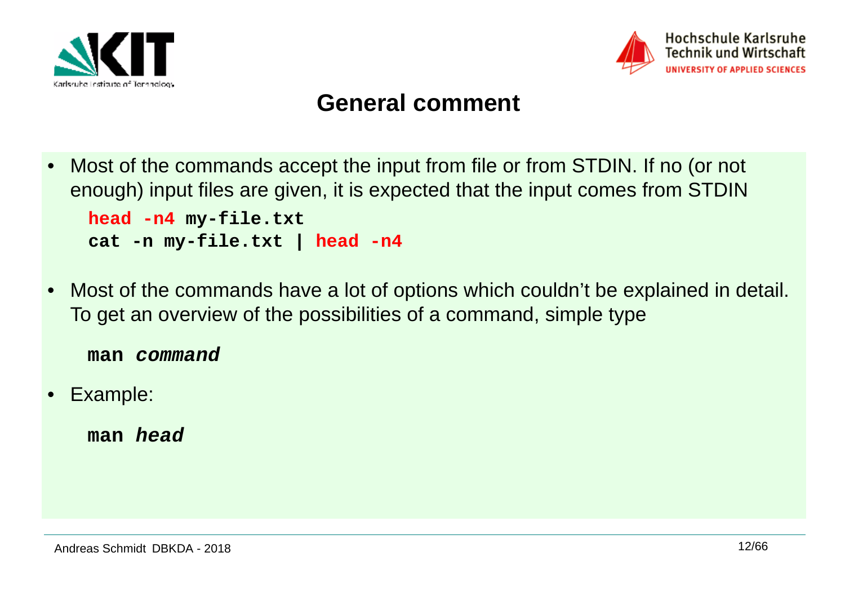



#### **General comment**

- • Most of the commands accept the input from file or from STDIN. If no (or not enough) input files are given, it is expected that the input comes from STDIN**head -n4 my-file.txt cat -n my-file.txt | head -n4**
- • Most of the commands have a lot of options which couldn't be explained in detail. To get an overview of the possibilities of a command, simple type

**man command**

•Example:

**man head**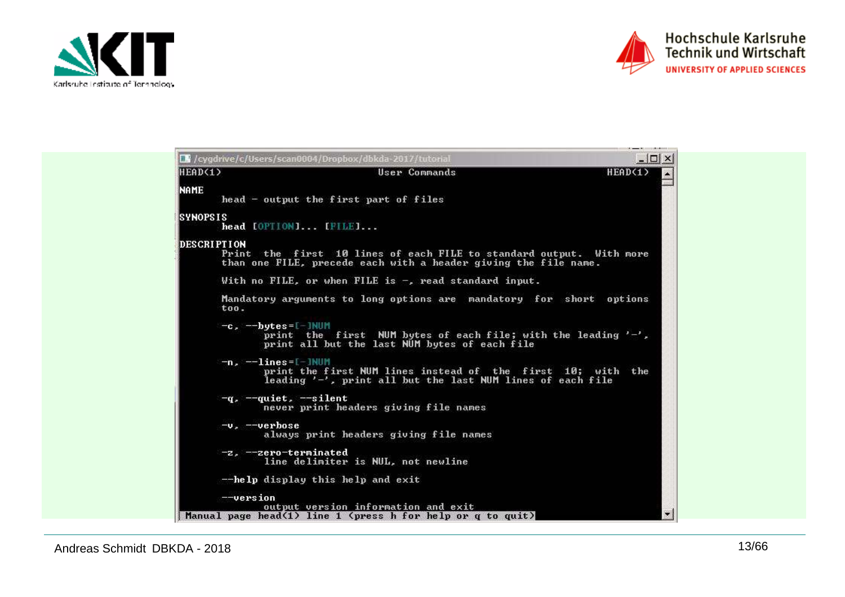



 $3.7 - 3.1 - 10.0001$ 

| HEAD(1)            | User Commands                                                                                                                                                   | HEAD(1) |
|--------------------|-----------------------------------------------------------------------------------------------------------------------------------------------------------------|---------|
| <b>NAME</b>        | head - output the first part of files                                                                                                                           |         |
| <b>SYNOPSIS</b>    | head [OPTION] [FILE]                                                                                                                                            |         |
| <b>DESCRIPTION</b> | Print the first 10 lines of each FILE to standard output. With more<br>than one FILE, precede each with a header giving the file name.                          |         |
|                    | With no FILE, or when FILE is -, read standard input.                                                                                                           |         |
| to 0.              | Mandatory arguments to long options are mandatory for short options                                                                                             |         |
|                    | $-c.$ $-$ bytes=[-]NUM<br>print the first NUM bytes of each file; with the leading $'-$ ,<br>print all but the last NUM bytes of each file                      |         |
|                    | $-n.$ $-1ines =$ $-1$ NUM<br>print the first NUM lines instead of the first 10; with the<br>leading $\prime -'$ , print all but the last NUM lines of each file |         |
|                    | $-q$ , $-quiet$ , $-silent$<br>never print headers giving file names                                                                                            |         |
| $-vz$ --verbose    | always print headers giving file names                                                                                                                          |         |
|                    | -z, --zero-terminated<br>line delimiter is NUL, not newline                                                                                                     |         |
|                    | --help display this help and exit                                                                                                                               |         |
| $-$ -version       | output version information and exit                                                                                                                             |         |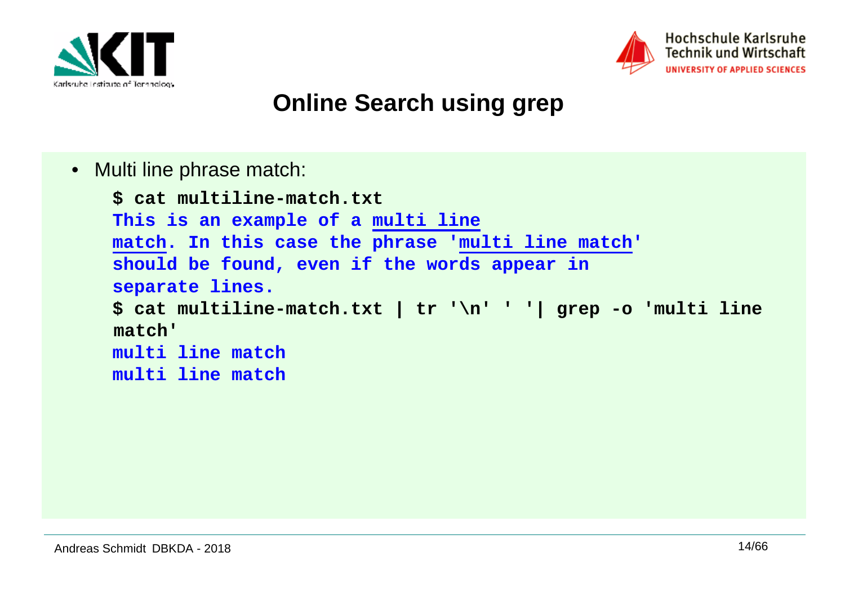



## **Online Search using grep**

• Multi line phrase match:

```
$ cat multiline-match.txt
This is an example of a multi line
match. In this case the phrase 'multi line match'should be found, even if the words appear inseparate lines.
$ cat multiline-match.txt | tr '\n' ' '| grep -o 'multi line match'
multi line match
multi line match
```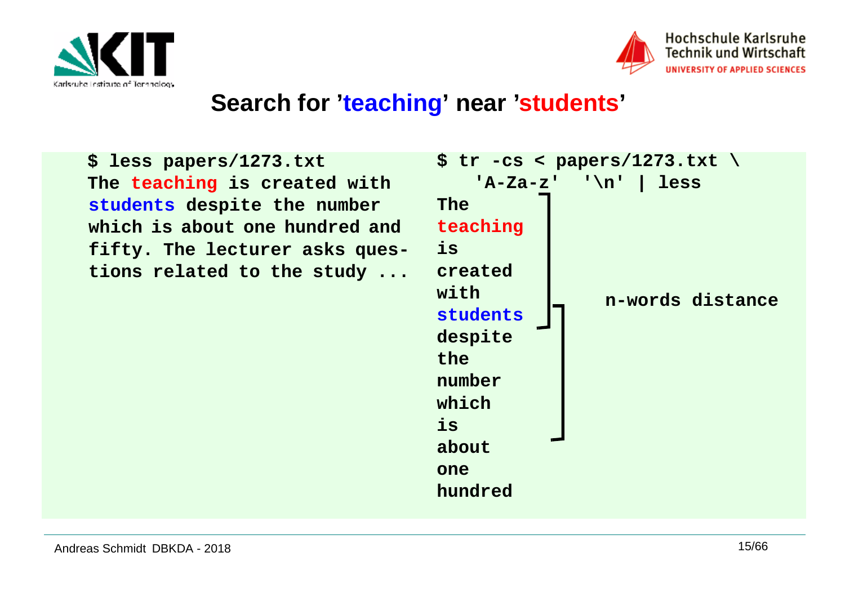



#### **Search for 'teaching' near 'students'**

**\$ less papers/1273.txt The teaching is created with students despite the number which is about one hundred and fifty. The lecturer asks questions related to the study ...**

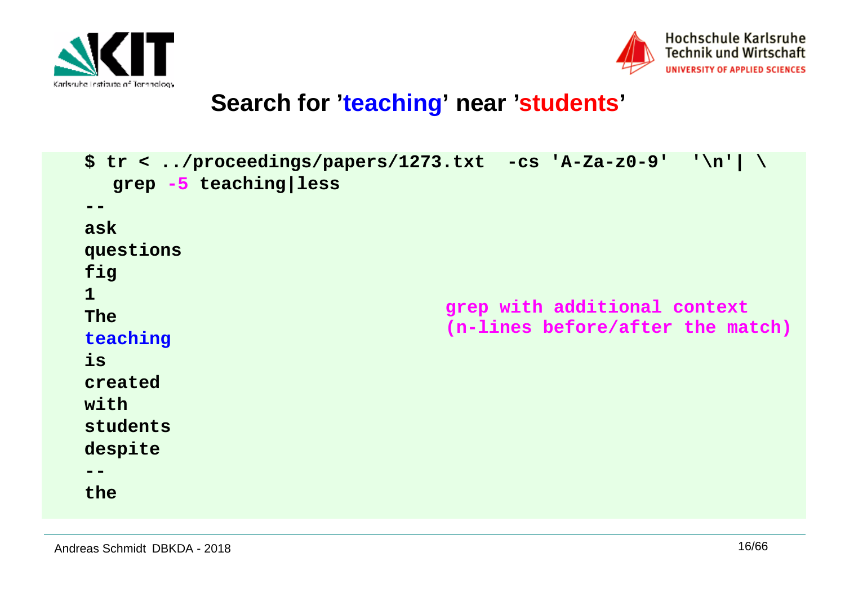



## **Search for 'teaching' near 'students'**

```
$ tr < ../proceedings/papers/1273.txt -cs 'A-Za-z0-9' '\n'| \grep -5 teaching|less--
ask
questionsfig1
The
teachingis
createdwith
students
despite--
thegrep with additional context
(n-lines before/after the match)
```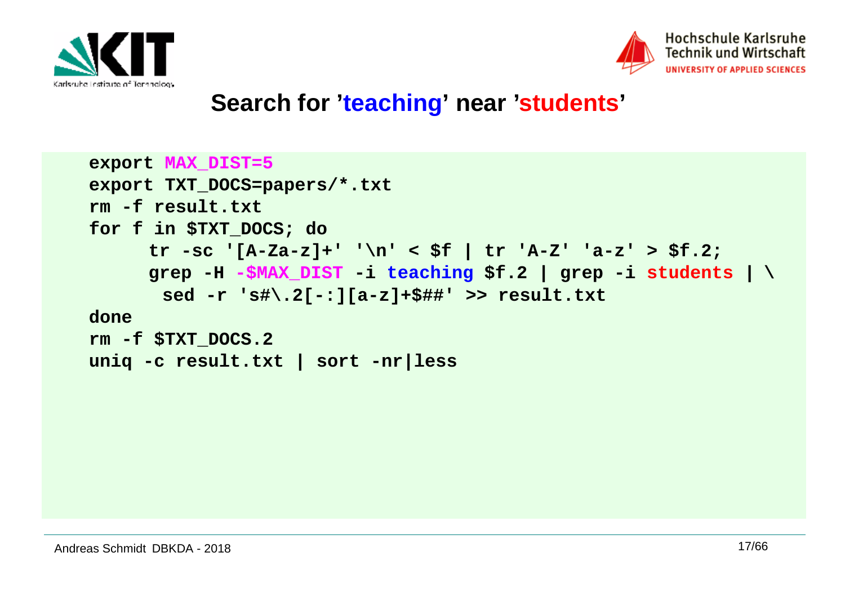



#### **Search for 'teaching' near 'students'**

```
export MAX_DIST=5
export TXT_DOCS=papers/*.txtrm -f result.txt
for f in $TXT_DOCS; do 
 tr -sc '[A-Za-z]+' '\n' < $f | tr 'A-Z' 'a-z' > $f.2; 
 grep -H -$MAX_DIST -i teaching $f.2 | grep -i students | \
      sed -r 's#\.2[-:][a-z]+$##' >> result.txt done
rm -f $TXT_DOCS.2
uniq -c result.txt | sort -nr|less
```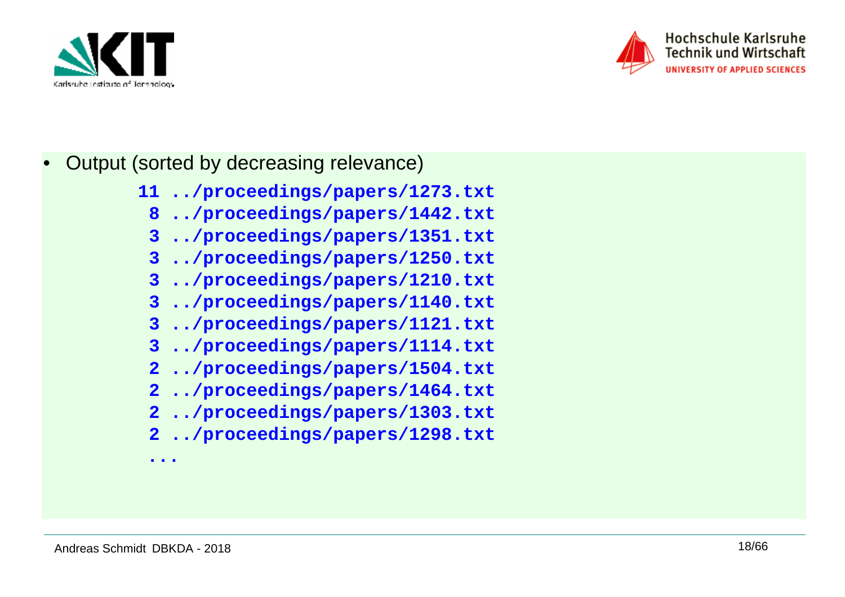



- • Output (sorted by decreasing relevance)
	- **11 ../proceedings/papers/1273.txt**
	- **8 ../proceedings/papers/1442.txt**
	- **3 ../proceedings/papers/1351.txt**
	- **3 ../proceedings/papers/1250.txt**
	- **3 ../proceedings/papers/1210.txt**
	- **3 ../proceedings/papers/1140.txt**
	- **3 ../proceedings/papers/1121.txt**
	- **3 ../proceedings/papers/1114.txt**
	- **2 ../proceedings/papers/1504.txt**
	- **2 ../proceedings/papers/1464.txt**
	- **2 ../proceedings/papers/1303.txt**
	- **2 ../proceedings/papers/1298.txt**

**...**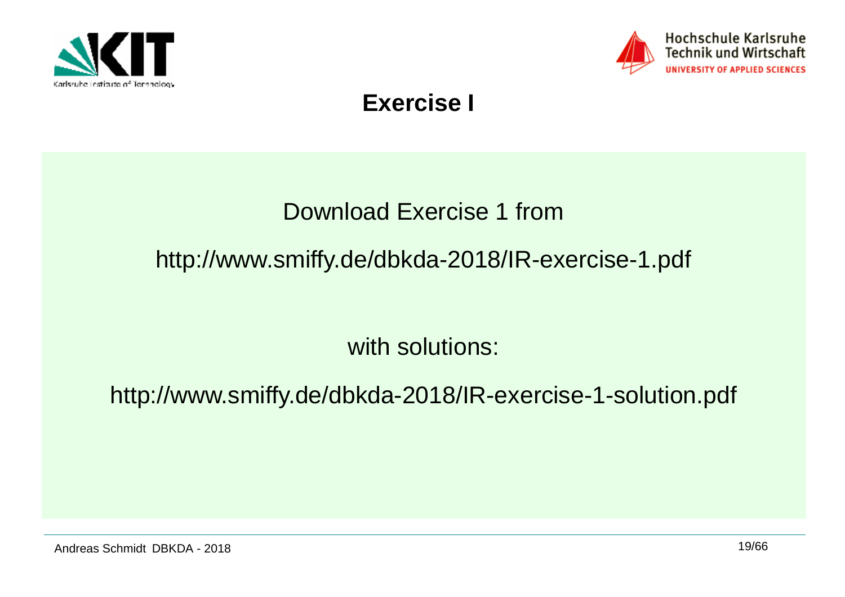



## **Exercise I**

## Download Exercise 1 from

## http://www.smiffy.de/dbkda-2018/IR-exercise-1.pdf

with solutions:

http://www.smiffy.de/dbkda-2018/IR-exercise-1-solution.pdf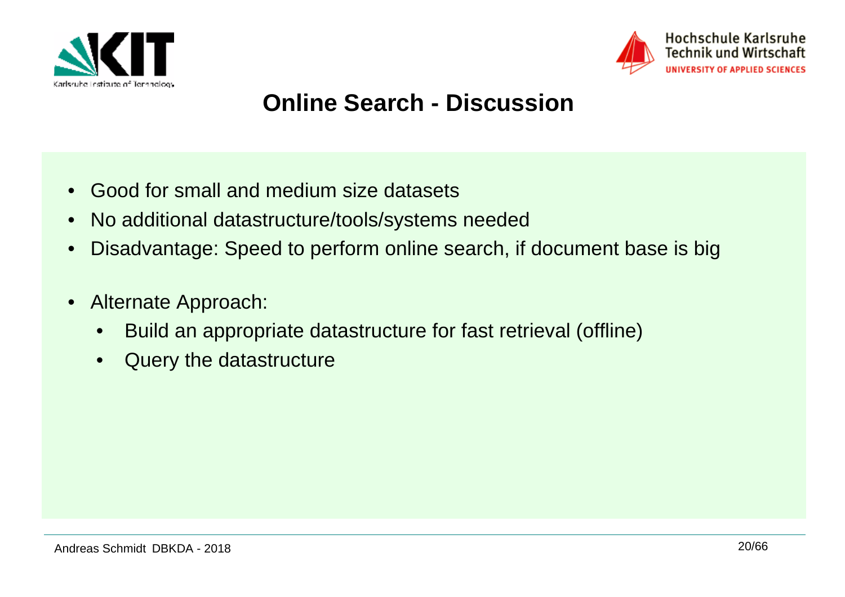



## **Online Search - Discussion**

- •Good for small and medium size datasets
- •No additional datastructure/tools/systems needed
- •Disadvantage: Speed to perform online search, if document base is big
- $\bullet$  Alternate Approach:
	- •Build an appropriate datastructure for fast retrieval (offline)
	- $\bullet$ Query the datastructure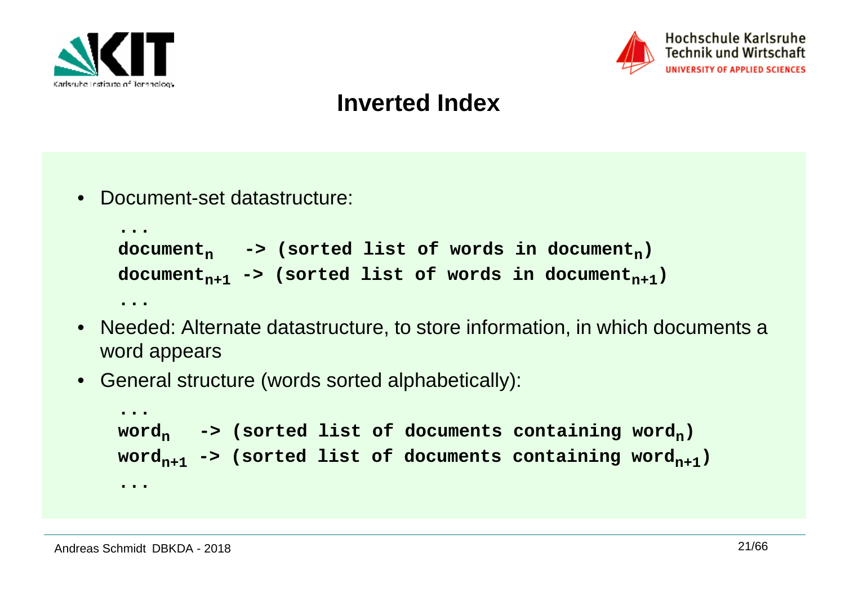



#### **Inverted Index**

• Document-set datastructure:

```
...
documentn -> (sorted list of words in documentn)
documentn+1 -> (sorted list of words in documentn+1)...
```
- Needed: Alternate datastructure, to store information, in which documents a word appears
- General structure (words sorted alphabetically):

```
...
wordn -> (sorted list of documents containing wordn)
wordn+1 -> (sorted list of documents containing wordn+1)...
```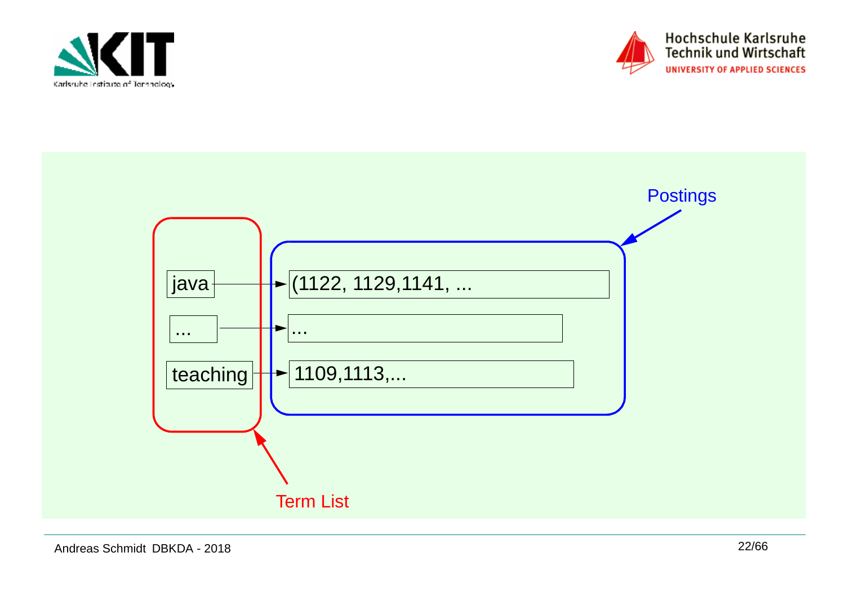



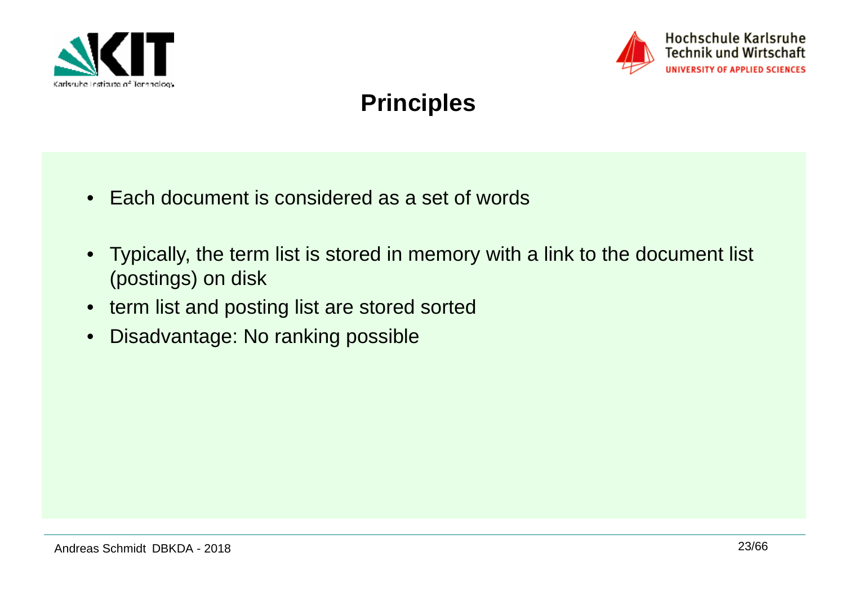



## **Principles**

- Each document is considered as a set of words
- Typically, the term list is stored in memory with a link to the document list (postings) on disk
- term list and posting list are stored sorted
- $\bullet$ Disadvantage: No ranking possible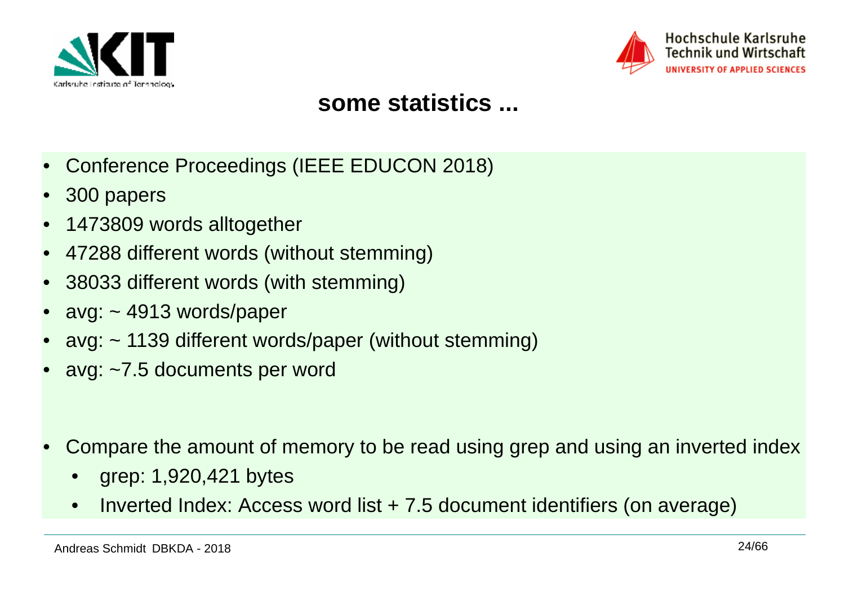



#### **some statistics ...**

- •Conference Proceedings (IEEE EDUCON 2018)
- •300 papers
- •1473809 words alltogether
- •47288 different words (without stemming)
- •38033 different words (with stemming)
- •avg: ~ 4913 words/paper
- •avg: ~ 1139 different words/paper (without stemming)
- •avg: ~7.5 documents per word
- • Compare the amount of memory to be read using grep and using an inverted index
	- •grep: 1,920,421 bytes
	- •Inverted Index: Access word list + 7.5 document identifiers (on average)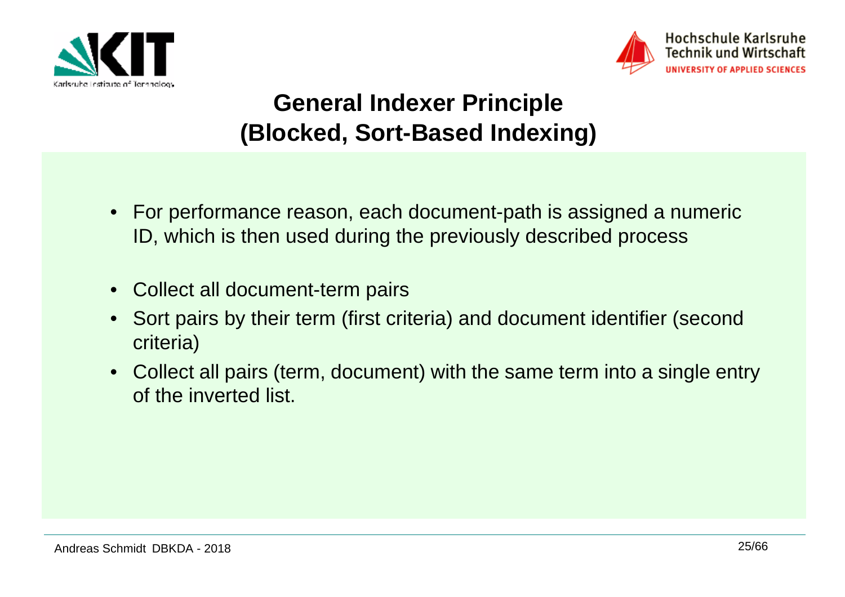



## **General Indexer Principle (Blocked, Sort-Based Indexing)**

- For performance reason, each document-path is assigned a numeric ID, which is then used during the previously described process
- •Collect all document-term pairs
- • Sort pairs by their term (first criteria) and document identifier (second criteria)
- Collect all pairs (term, document) with the same term into a single entry of the inverted list.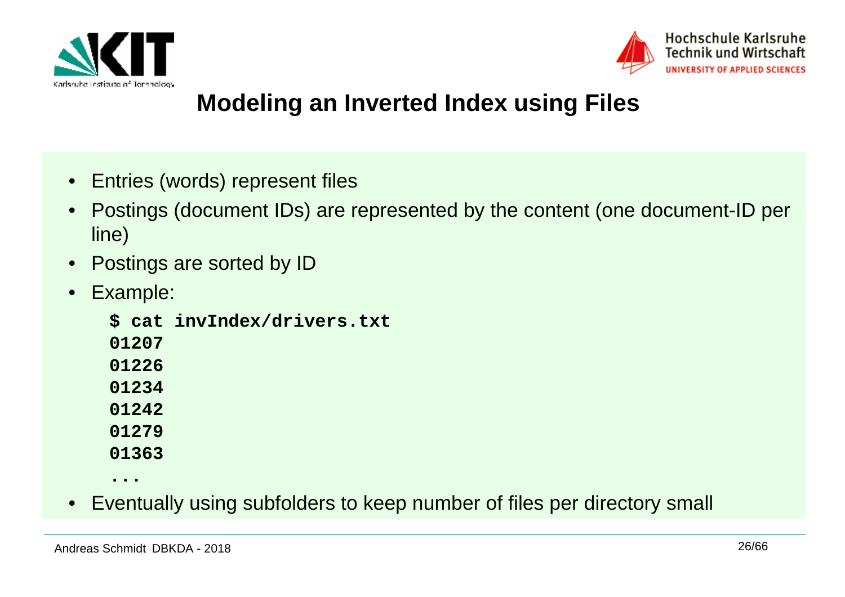



## **Modeling an Inverted Index using Files**

- Entries (words) represent files
- • Postings (document IDs) are represented by the content (one document-ID per line)
- •Postings are sorted by ID
- • Example:
	- **\$ cat invIndex/drivers.txt**
	- **01207**
	- **01226**
	- **01234**
	- **01242**
	- **01279**
	- **01363**
	- **...**
- Eventually using subfolders to keep number of files per directory small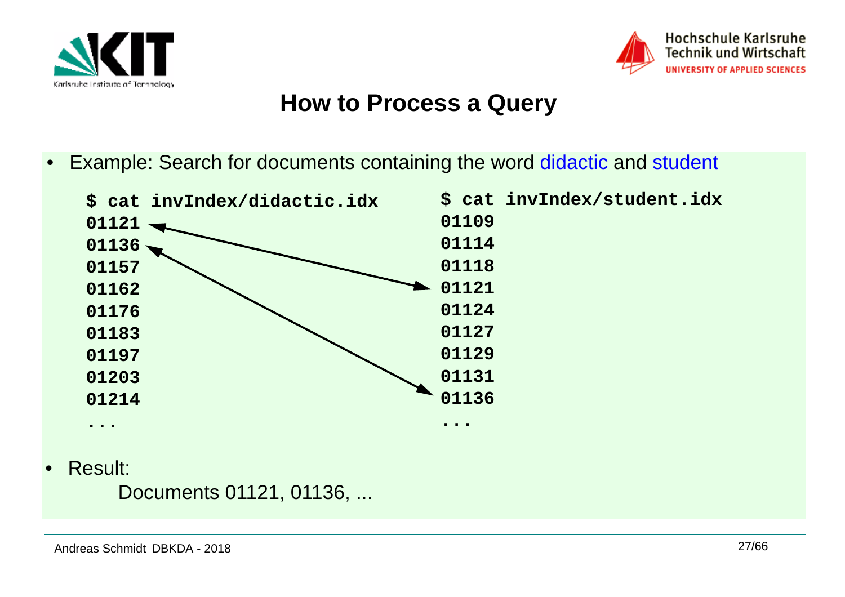



#### **How to Process a Query**

•Example: Search for documents containing the word didactic and student



•Result:

Documents 01121, 01136, ...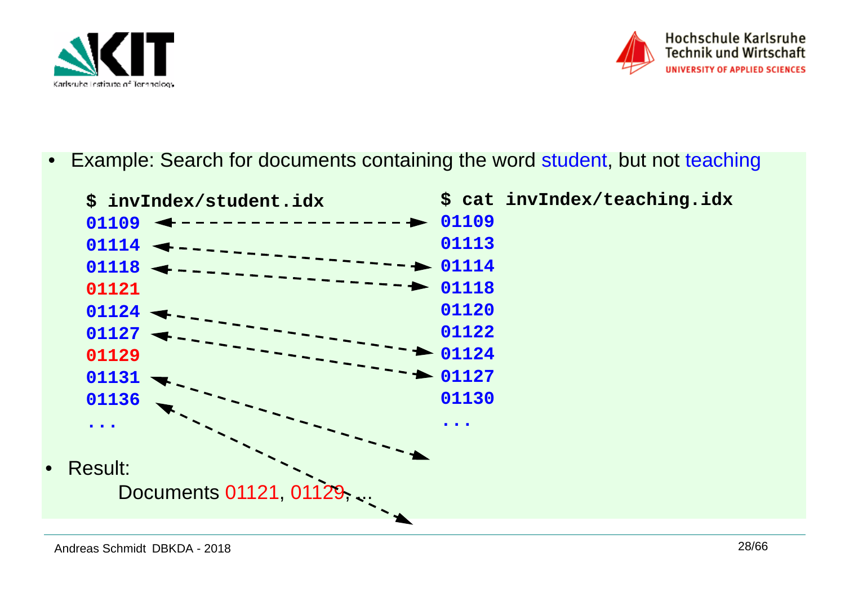



•Example: Search for documents containing the word student, but not teaching

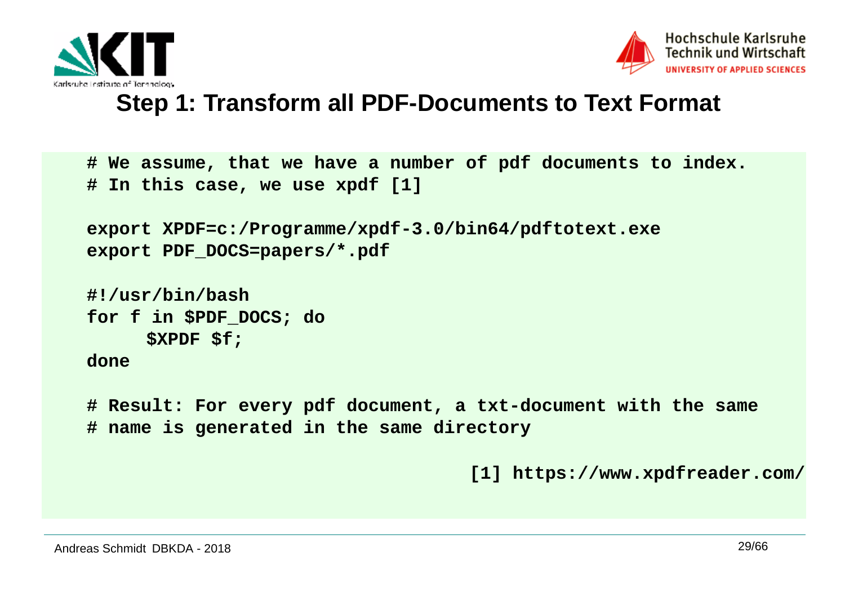



#### **Step 1: Transform all PDF-Documents to Text Format**

```
# We assume, that we have a number of pdf documents to index.# In this case, we use xpdf [1]export XPDF=c:/Programme/xpdf-3.0/bin64/pdftotext.exeexport PDF_DOCS=papers/*.pdf#!/usr/bin/bash
for f in $PDF_DOCS; do  $XPDF $f; done# Result: For every pdf document, a txt-document with the same# name is generated in the same directory
```

```
[1] https://www.xpdfreader.com/
```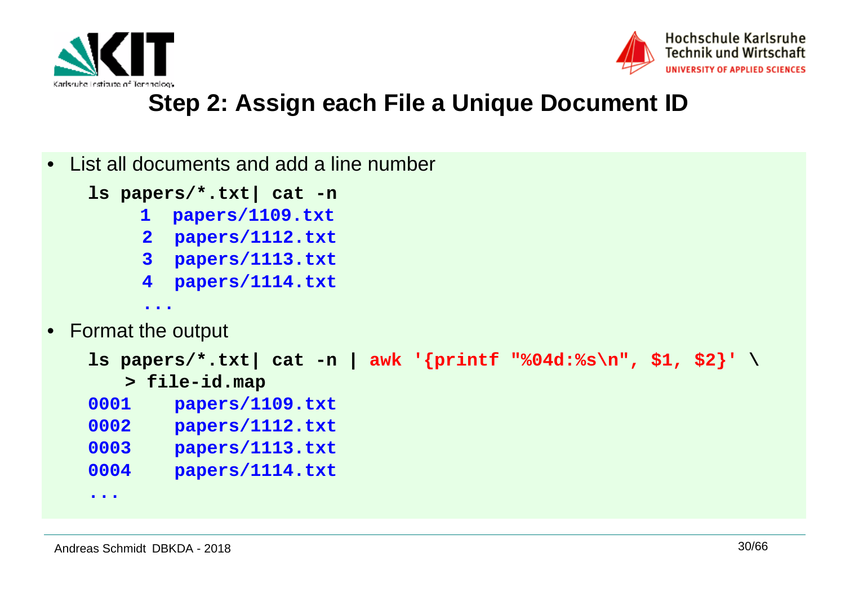



## **Step 2: Assign each File a Unique Document ID**

|                                                                  | • List all documents and add a line number |  |  |  |
|------------------------------------------------------------------|--------------------------------------------|--|--|--|
|                                                                  | $ls$ papers/*.txt $cal$ cat -n             |  |  |  |
| $\mathbf{1}$                                                     | papers/1109.txt                            |  |  |  |
| $\overline{2}$                                                   | papers/1112.txt                            |  |  |  |
| 3 <sup>1</sup>                                                   | papers/1113.txt                            |  |  |  |
| $\overline{\mathbf{4}}$                                          | papers/1114.txt                            |  |  |  |
|                                                                  | $\bullet\quad\bullet\quad\bullet$          |  |  |  |
| • Format the output                                              |                                            |  |  |  |
| ls papers/*.txt  cat -n   awk '{printf "%04d:%s\n", \$1, \$2}' \ |                                            |  |  |  |
|                                                                  | > file-id.map                              |  |  |  |
| 0001                                                             | papers/1109.txt                            |  |  |  |
| 0002                                                             | papers/1112.txt                            |  |  |  |
| 0003                                                             | papers/1113.txt                            |  |  |  |
| 0004                                                             | papers/1114.txt                            |  |  |  |
|                                                                  |                                            |  |  |  |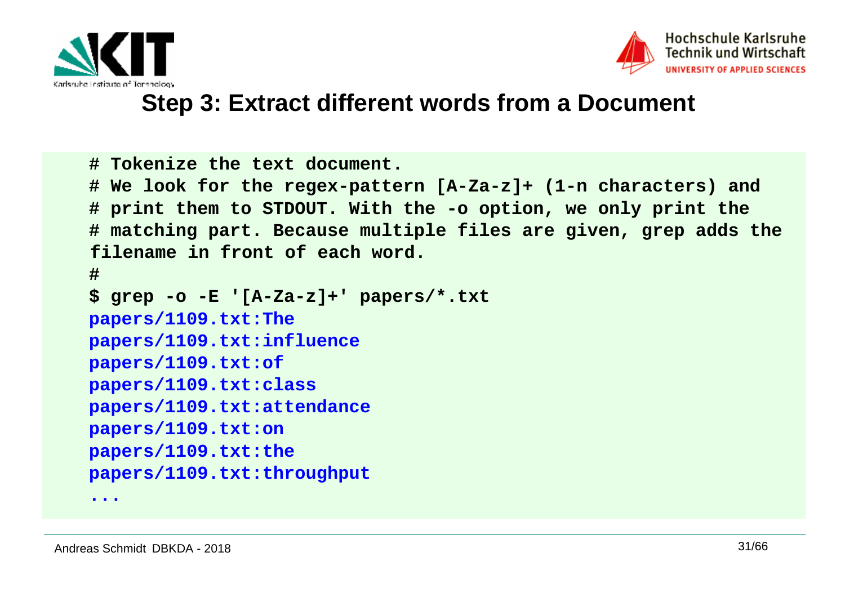



#### **Step 3: Extract different words from a Document**

```
# Tokenize the text document. 
# We look for the regex-pattern [A-Za-z]+ (1-n characters) and # print them to STDOUT. With the -o option, we only print the
# matching part. Because multiple files are given, grep adds the filename in front of each word.# 
$ grep -o -E '[A-Za-z]+' papers/*.txt papers/1109.txt:The
papers/1109.txt:influencepapers/1109.txt:of
papers/1109.txt:class
papers/1109.txt:attendancepapers/1109.txt:on
papers/1109.txt:the
papers/1109.txt:throughput
```
**...**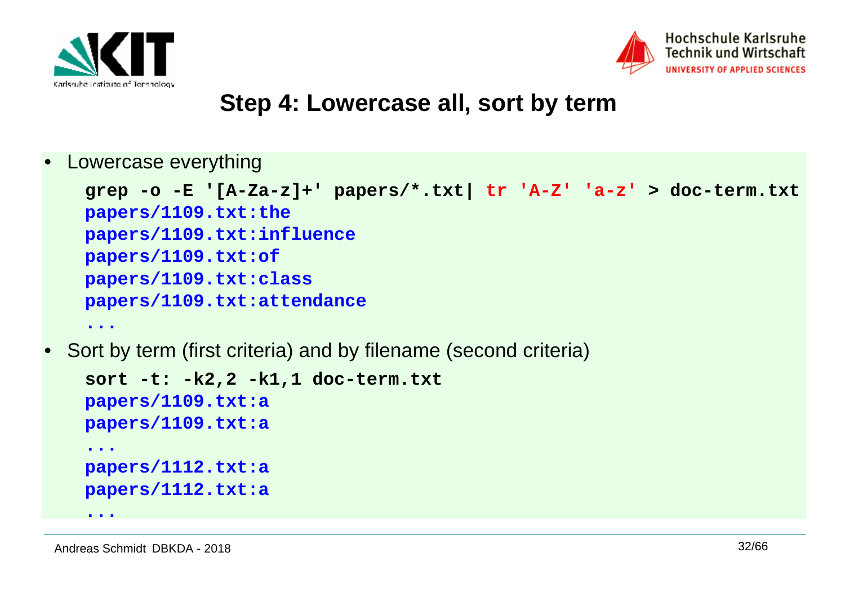



#### **Step 4: Lowercase all, sort by term**

•Lowercase everything

```
grep -o -E '[A-Za-z]+' papers/*.txt| tr 'A-Z' 'a-z' > doc-term.txtpapers/1109.txt:the
papers/1109.txt:influencepapers/1109.txt:of
papers/1109.txt:class
papers/1109.txt:attendance...
```
•Sort by term (first criteria) and by filename (second criteria)

```
sort -t: -k2,2 -k1,1 doc-term.txtpapers/1109.txt:a
papers/1109.txt:a...
papers/1112.txt:a
papers/1112.txt:a
```
**...**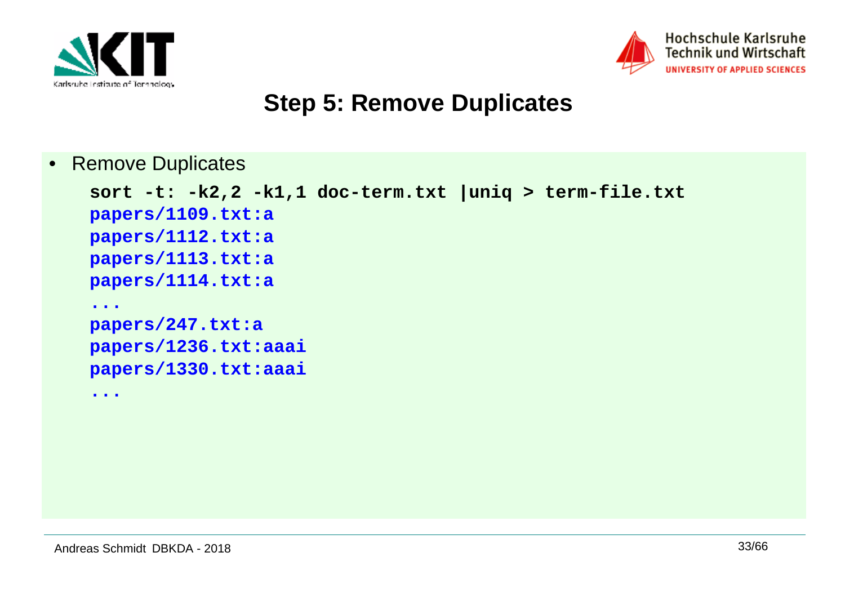



## **Step 5: Remove Duplicates**

 $\bullet$ Remove Duplicates

```
sort -t: -k2,2 -k1,1 doc-term.txt |uniq > term-file.txtpapers/1109.txt:a
papers/1112.txt:a
papers/1113.txt:a
papers/1114.txt:a...
papers/247.txt:a
papers/1236.txt:aaai
papers/1330.txt:aaai...
```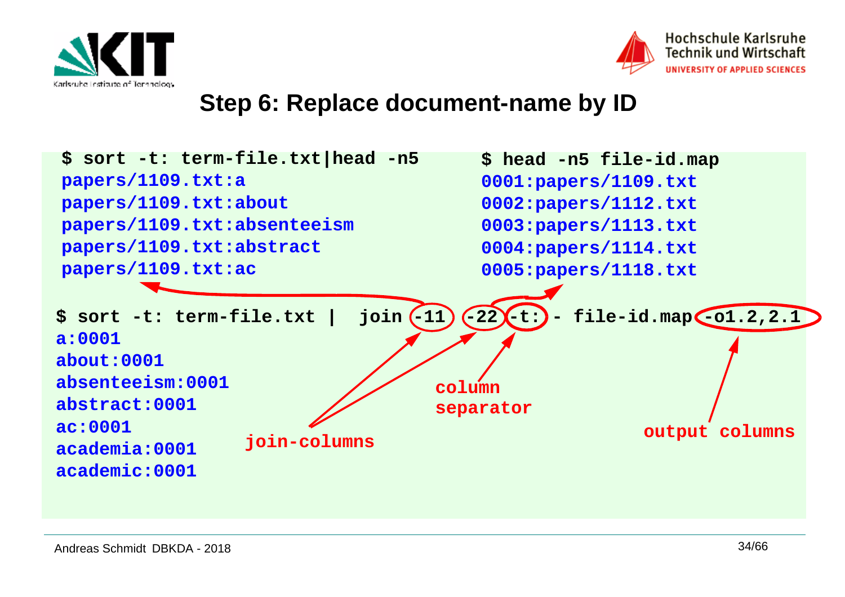



#### **Step 6: Replace document-name by ID**

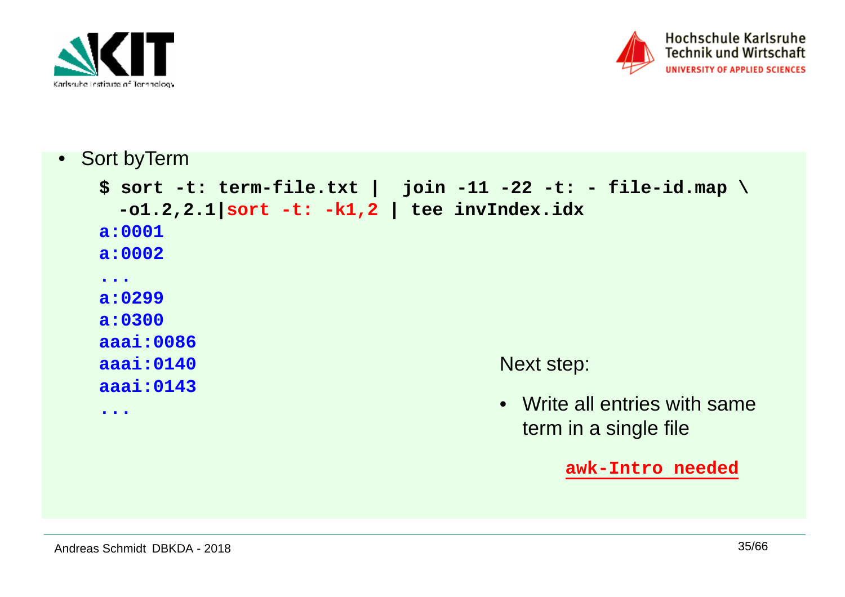



• Sort byTerm

```

$ sort -t: term-file.txt | join -11 -22 -t: - file-id.map \-o1.2,2.1|sort -t: -k1,2 | tee invIndex.idxa:0001
a:0002...
a:0299
a:0300
aaai:0086
aaai:0140
aaai:0143...Next step:• Write all entries with same 
                                          term in a single fileawk-Intro needed
```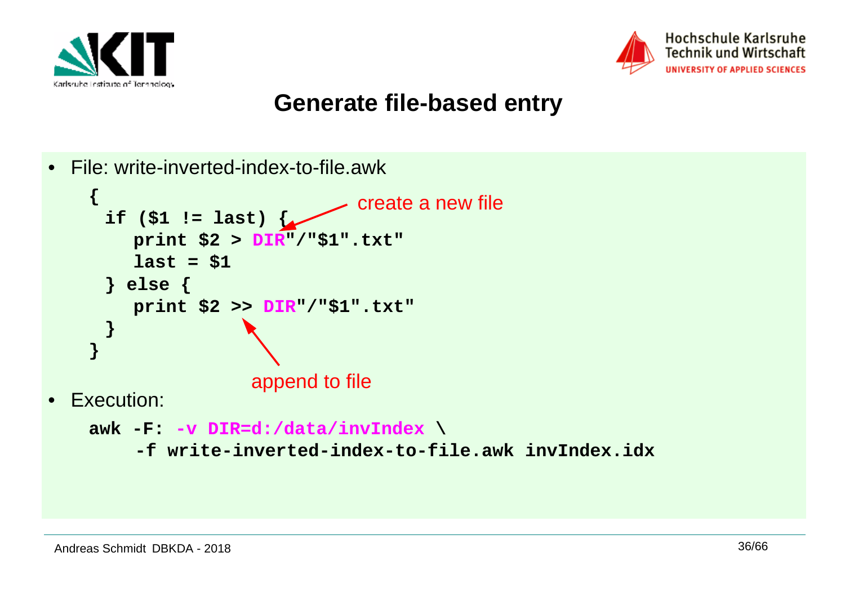



#### **Generate file-based entry**

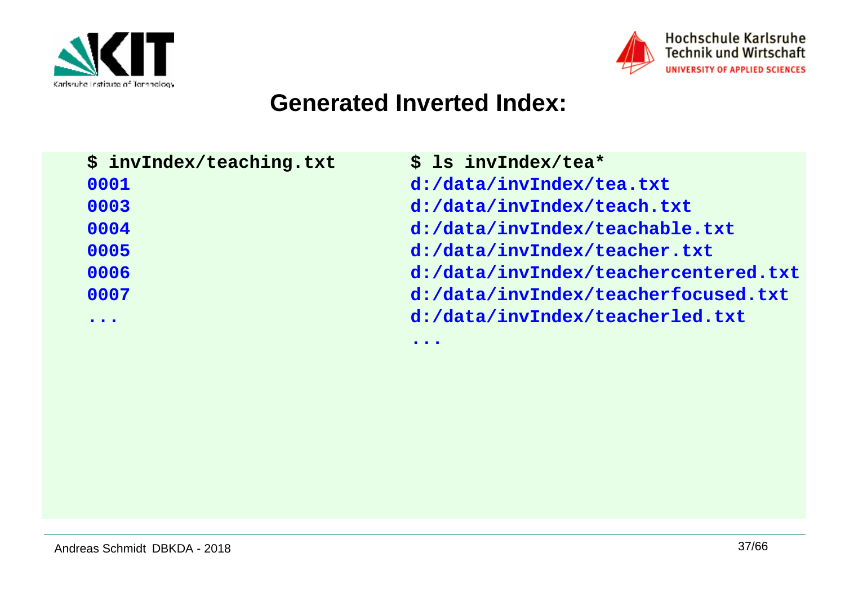



#### **Generated Inverted Index:**

| \$ invIndex/teaching.txt          | $$$ ls invIndex/tea*                 |
|-----------------------------------|--------------------------------------|
| 0001                              | d:/data/invIndex/tea.txt             |
| 0003                              | d:/data/invIndex/teach.txt           |
| 0004                              | d:/data/invIndex/teachable.txt       |
| 0005                              | d:/data/invIndex/teacher.txt         |
| 0006                              | d:/data/invIndex/teachercentered.txt |
| 0007                              | d:/data/invIndex/teacherfocused.txt  |
| $\bullet\quad\bullet\quad\bullet$ | d:/data/invIndex/teacherled.txt      |
|                                   | $\bullet\bullet\bullet$              |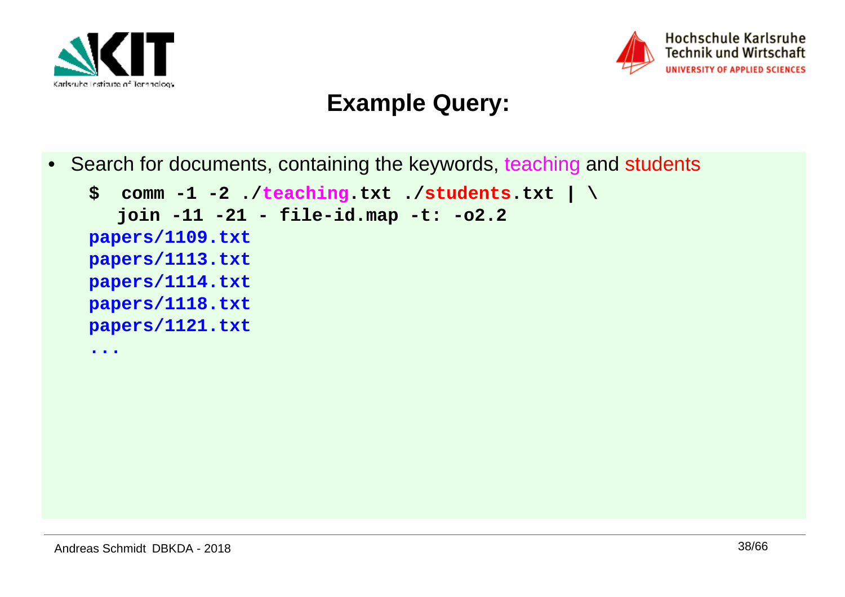



## **Example Query:**

• Search for documents, containing the keywords, teaching and students

```
$ comm -1 -2 ./teaching.txt ./students.txt | \join -11 -21 - file-id.map -t: -o2.2papers/1109.txt
papers/1113.txt
papers/1114.txt
papers/1118.txt
papers/1121.txt...
```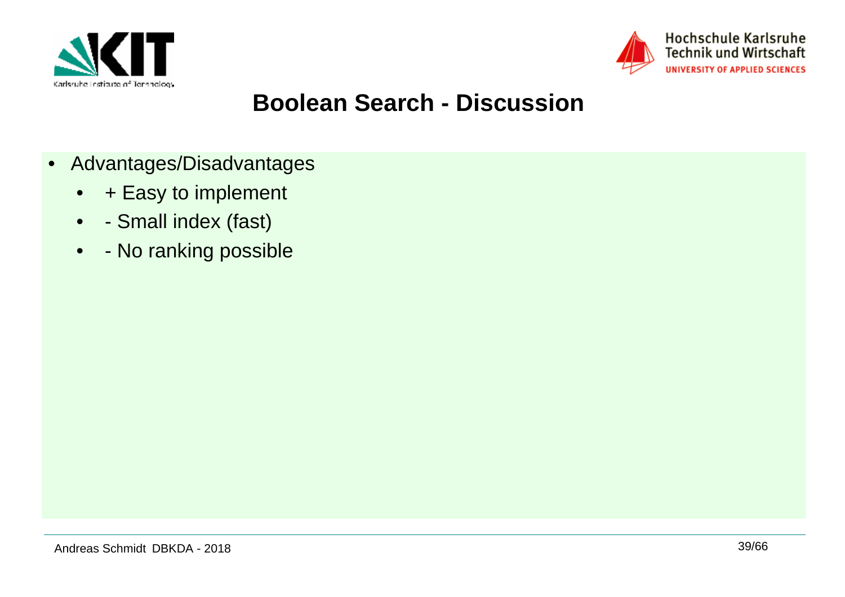



## **Boolean Search - Discussion**

- Advantages/Disadvantages
	- + Easy to implement
	- - Small index (fast)
	- - No ranking possible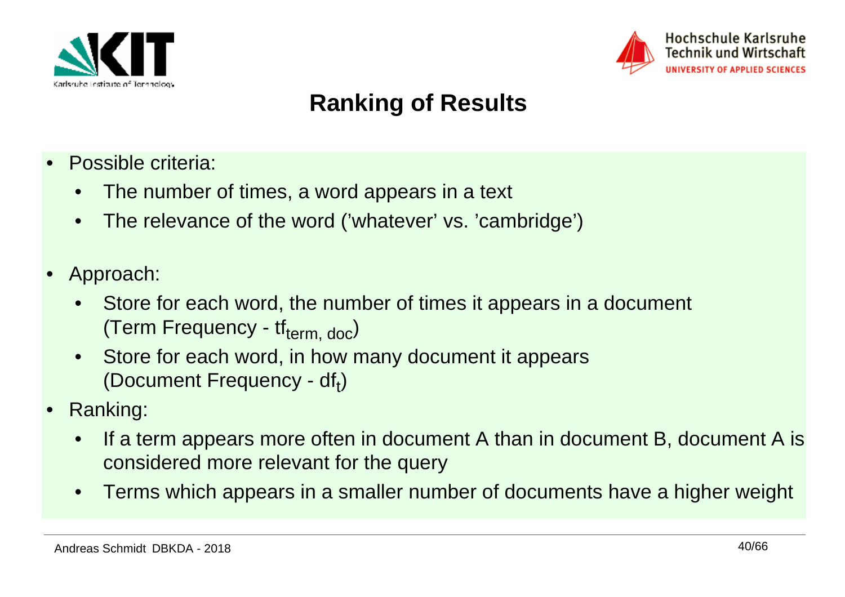



## **Ranking of Results**

- • Possible criteria:
	- •The number of times, a word appears in a text
	- •The relevance of the word ('whatever' vs. 'cambridge')
- • Approach:
	- • Store for each word, the number of times it appears in a document (Term Frequency -  $tf_{term, doc}$ )
	- • Store for each word, in how many document it appears (Document Frequency -  $df_t$ )
- • Ranking:
	- • If a term appears more often in document A than in document B, document A isconsidered more relevant for the query
	- $\bullet$ Terms which appears in a smaller number of documents have a higher weight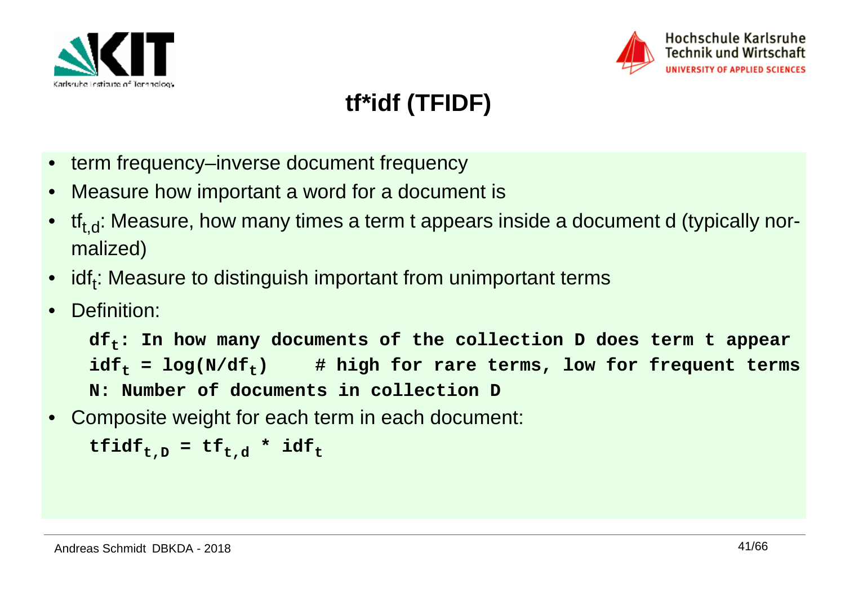



# **tf\*idf (TFIDF)**

- term frequency–inverse document frequency
- •Measure how important a word for a document is
- $\bullet~~$  tf $_{\mathsf{t},\mathsf{d}}$ : Measure, how many times a term t appears inside a document d (typically normalized)
- • $i$ idf<sub>t</sub>: Measure to distinguish important from unimportant terms
- •Definition:

**dft: In how many documents of the collection D does term t appear** $idf<sub>f</sub> = log(N/df<sub>f</sub>)$  # high for rare terms, low for frequent terms **N: Number of documents in collection D**

• Composite weight for each term in each document:

```
\mathbf{tfidf}_{t,D} = tf_{t,d} * idf_t
```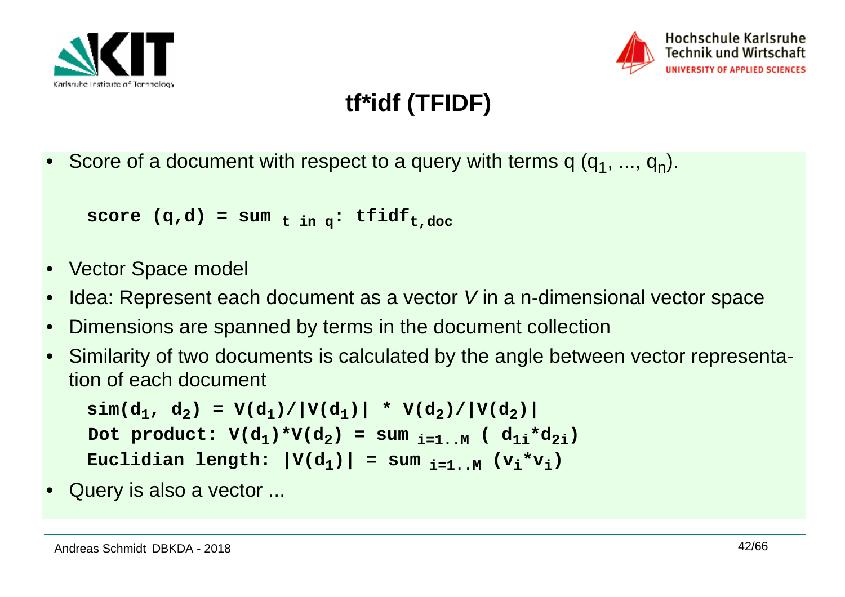



# **tf\*idf (TFIDF)**

•Score of a document with respect to a query with terms q  $(q_1, ..., q_n)$ .

```
score (q, d) = \text{sum}_{t in q}: tfidf<sub>t,doc</sub>
```
- Vector Space model
- •Idea: Represent each document as a vector V in a n-dimensional vector space
- •Dimensions are spanned by terms in the document collection
- • Similarity of two documents is calculated by the angle between vector representation of each document

 $\sin(\text{d}_1, \text{d}_2) = V(\text{d}_1) / |V(\text{d}_1)| * V(\text{d}_2) / |V(\text{d}_2)|$  $\text{Dot }$   $\text{product:}$   $\text{V}(d_1) * \text{V}(d_2) = \text{sum }_{i=1..M}$   $(\text{ } d_{1i} * d_{2i})$ **Euclidian length:**  $|V(d_1)| = \text{sum}_{i=1..M} (v_i * v_i)$ 

•Query is also a vector ...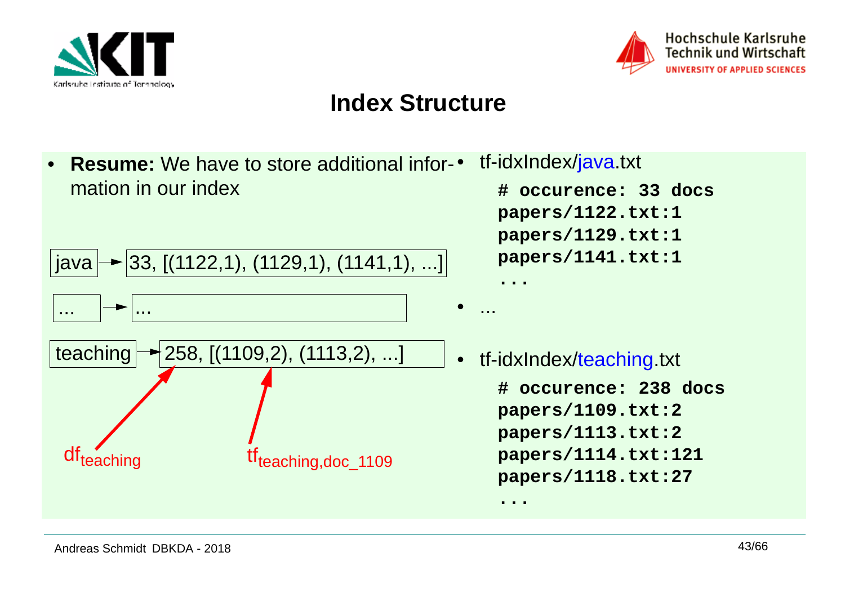



## **Index Structure**

• **Resume:** We have to store additional infor-•mation in our index



- tf-idxIndex/java.txt
	- **# occurence: 33 docspapers/1122.txt:1 papers/1129.txt:1papers/1141.txt:1**

 tf-idxIndex/teaching.txt **# occurence: 238 docspapers/1109.txt:2 papers/1113.txt:2 papers/1114.txt:121papers/1118.txt:27**

**...**

**...**

...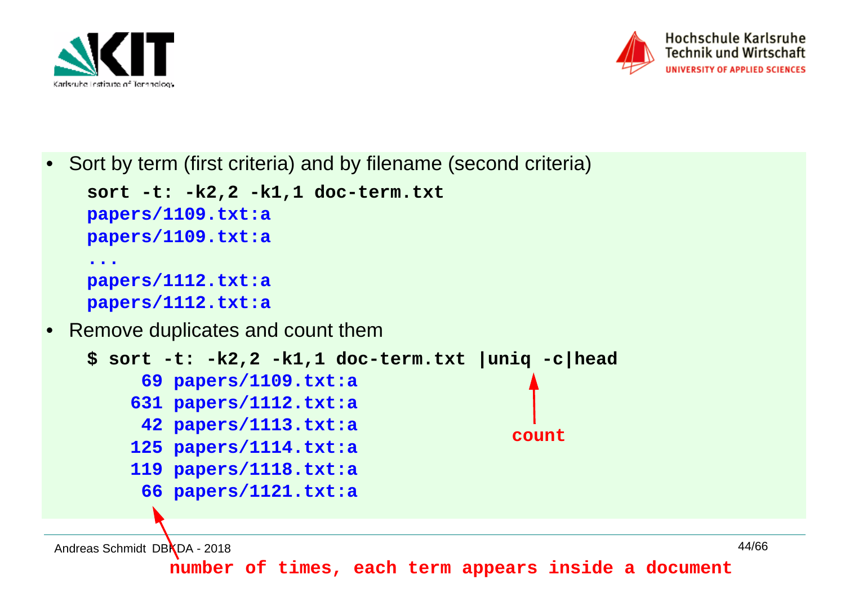

•



•Sort by term (first criteria) and by filename (second criteria)

```
sort -t: -k2,2 -k1,1 doc-term.txtpapers/1109.txt:a
papers/1109.txt:a...
papers/1112.txt:a
papers/1112.txt:a Remove duplicates and count them
$ sort -t: -k2,2 -k1,1 doc-term.txt |uniq -c|head  69 papers/1109.txt:a
 631 papers/1112.txt:a
 42 papers/1113.txt:a
 125 papers/1114.txt:a
 119 papers/1118.txt:a
 66 papers/1121.txt:acount
```
Andreas Schmidt DBKDA - 2018

**number of times, each term appears inside a document**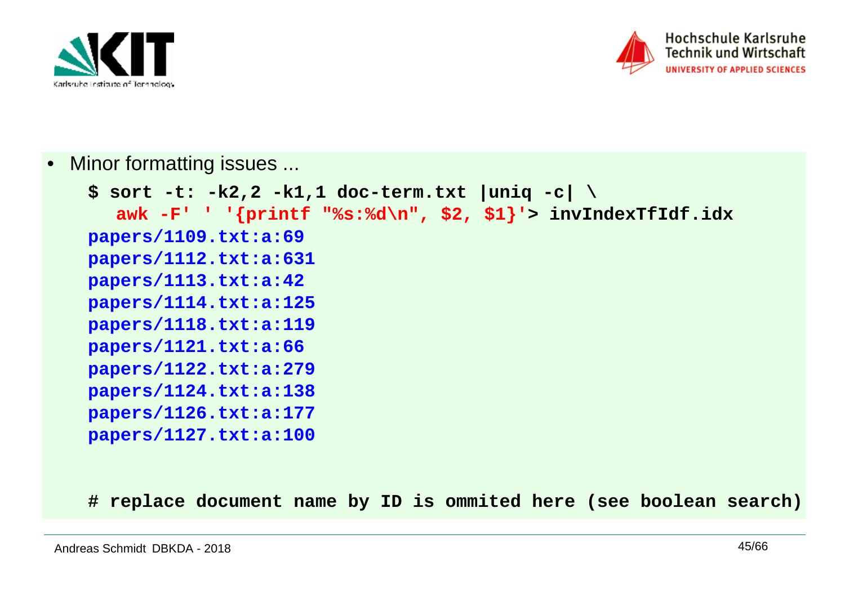



•Minor formatting issues ...

```
$ sort -t: -k2,2 -k1,1 doc-term.txt |uniq -c| \
awk -F' ' '{printf "%s:%d\n", $2, $1}'> invIndexTfIdf.idxpapers/1109.txt:a:69
papers/1112.txt:a:631
papers/1113.txt:a:42
papers/1114.txt:a:125
papers/1118.txt:a:119
papers/1121.txt:a:66
papers/1122.txt:a:279
papers/1124.txt:a:138
papers/1126.txt:a:177
papers/1127.txt:a:100
```
**# replace document name by ID is ommited here (see boolean search)**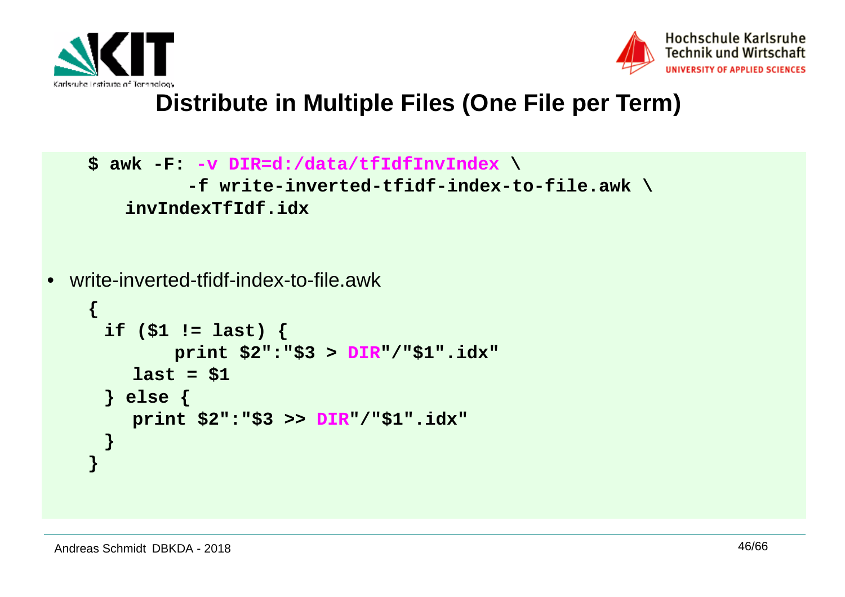



## **Distribute in Multiple Files (One File per Term)**

```
$ awk -F: -v DIR=d:/data/tfIdfInvIndex \
-f write-inverted-tfidf-index-to-file.awk \invIndexTfIdf.idx
```

```
• write-inverted-tfidf-index-to-file.awk
```

```
{if ($1 != last) {
 print $2":"$3 > DIR"/"$1".idx"last = $1} else {
print $2":"$3 >> DIR"/"$1".idx"}}
```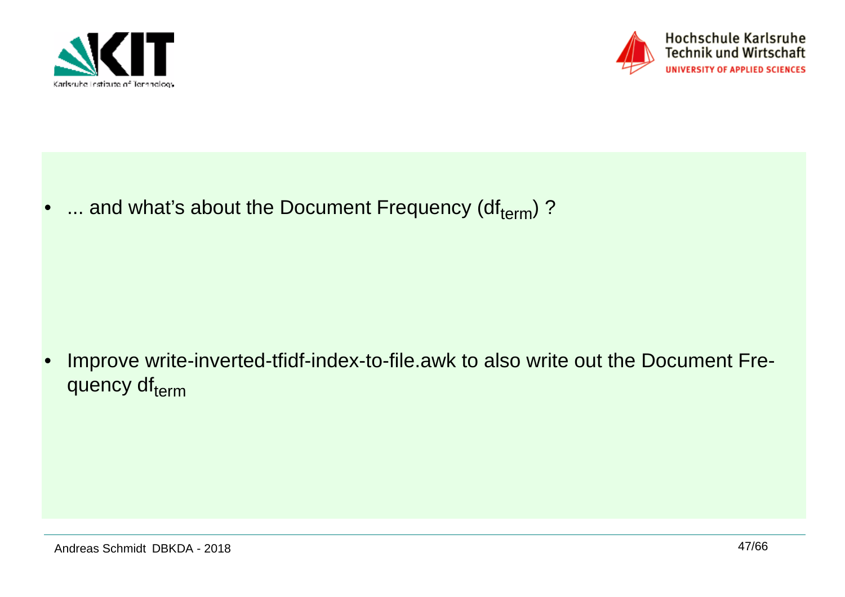



•... and what's about the Document Frequency (dfterm)?

• Improve write-inverted-tfidf-index-to-file.awk to also write out the Document Frequency dfterm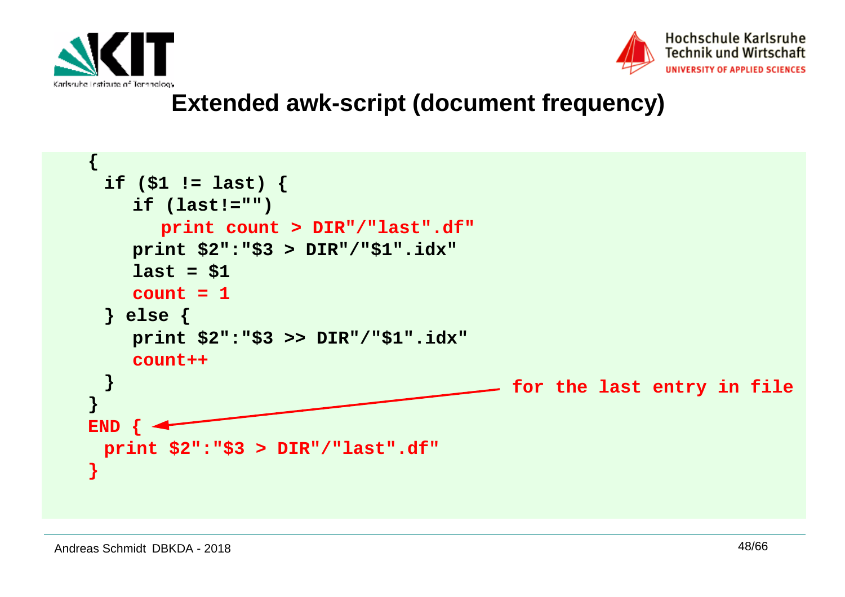



## **Extended awk-script (document frequency)**

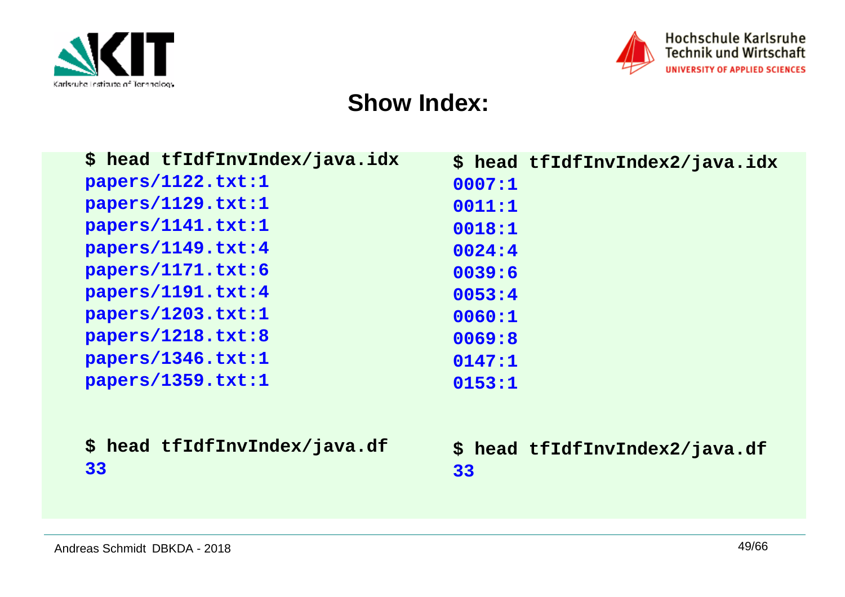



#### **Show Index:**

| \$ head tfIdfInvIndex/java.idx      | \$ head tfIdfInvIndex2/java.idx      |
|-------------------------------------|--------------------------------------|
| papers/1122.txt:1                   | 0007:1                               |
| papers/1129.txt:1                   | 0011:1                               |
| papers/1141.txt:1                   | 0018:1                               |
| papers/1149.txt:4                   | 0024:4                               |
| papers/1171.txt:6                   | 0039:6                               |
| papers/1191.txt:4                   | 0053:4                               |
| papers/1203.txt:1                   | 0060:1                               |
| papers/1218.txt:8                   | 0069:8                               |
| papers/1346.txt:1                   | 0147:1                               |
| papers/1359.txt:1                   | 0153:1                               |
| \$ head tfIdfInvIndex/java.df<br>33 | \$ head tfIdfInvIndex2/java.df<br>33 |
|                                     |                                      |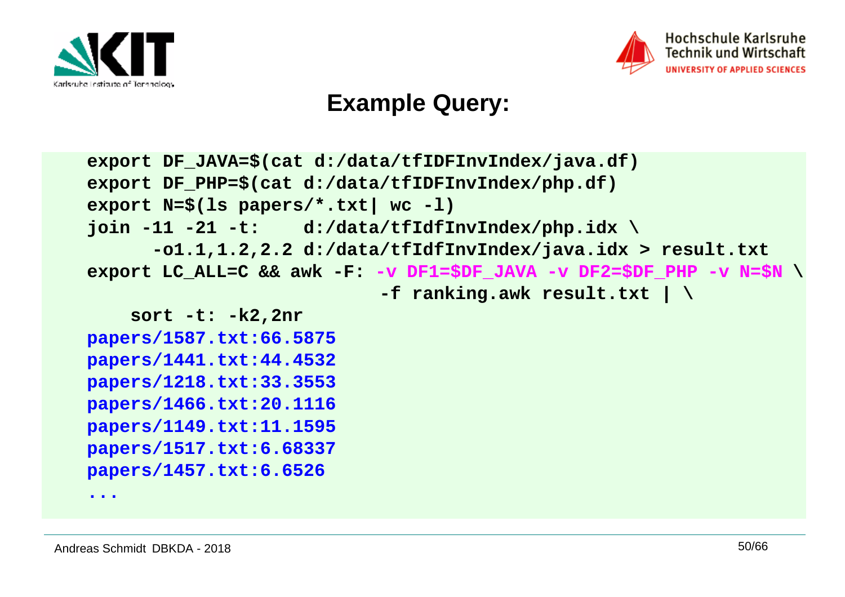



## **Example Query:**

```
export DF_JAVA=$(cat d:/data/tfIDFInvIndex/java.df)export DF_PHP=$(cat d:/data/tfIDFInvIndex/php.df)export N=$(ls papers/*.txt| wc -l)
join -11 -21 -t: d:/data/tfIdfInvIndex/php.idx \
 -o1.1,1.2,2.2 d:/data/tfIdfInvIndex/java.idx > result.txt
export LC_ALL=C && awk -F: -v DF1=$DF_JAVA -v DF2=$DF_PHP -v N=$N \ -f ranking.awk result.txt | \ sort -t: -k2,2nr
papers/1587.txt:66.5875
papers/1441.txt:44.4532
papers/1218.txt:33.3553
papers/1466.txt:20.1116
```

```

papers/1149.txt:11.1595
```
 **papers/1517.txt:6.68337papers/1457.txt:6.6526**

**...**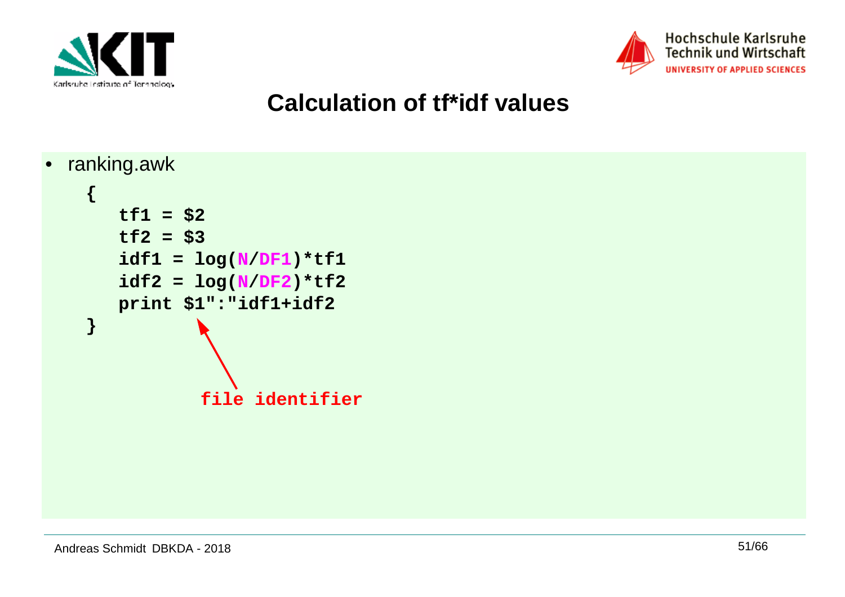



## **Calculation of tf\*idf values**

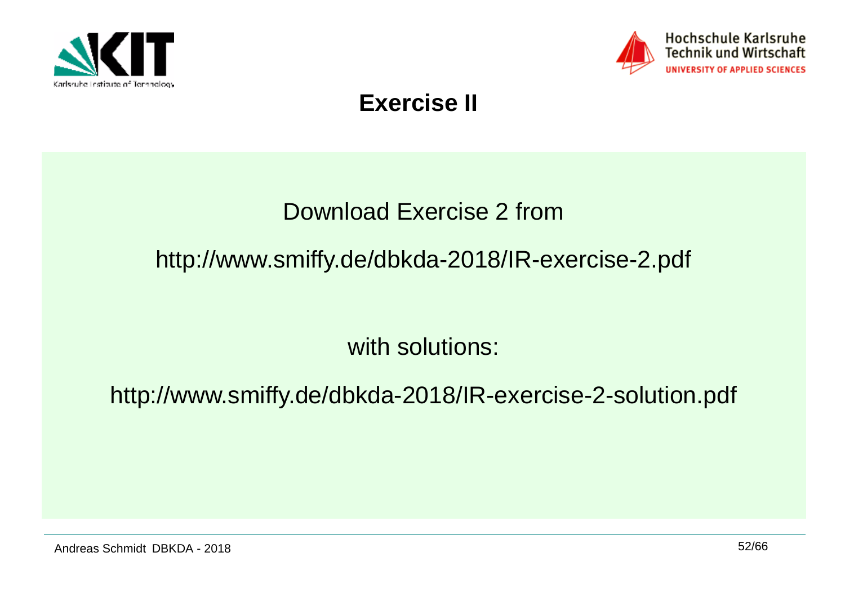



## **Exercise II**

## Download Exercise 2 from

## http://www.smiffy.de/dbkda-2018/IR-exercise-2.pdf

with solutions:

http://www.smiffy.de/dbkda-2018/IR-exercise-2-solution.pdf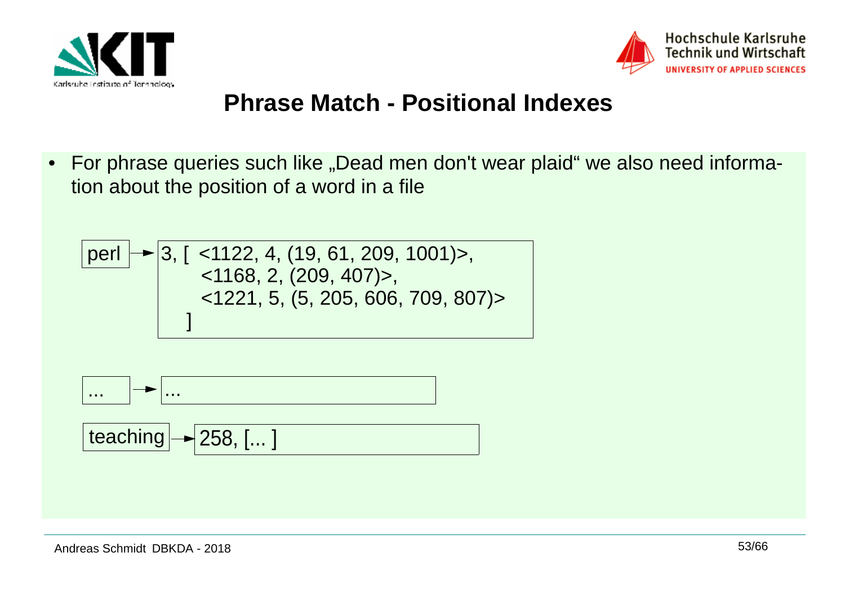



## **Phrase Match - Positional Indexes**

 $\bullet$ For phrase queries such like "Dead men don't wear plaid" we also need information about the position of a word in a file





$$
[teaching] \rightarrow 258, [...]
$$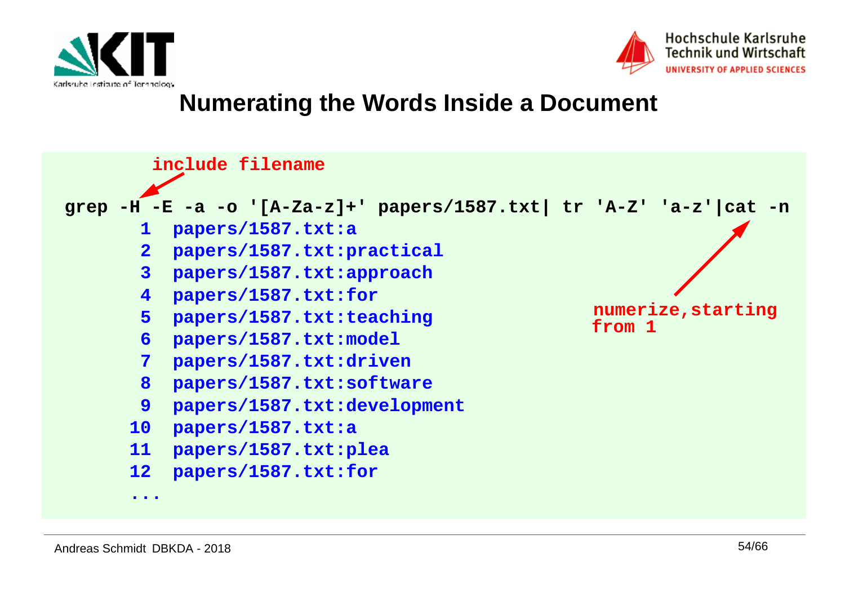



#### **Numerating the Words Inside a Document**

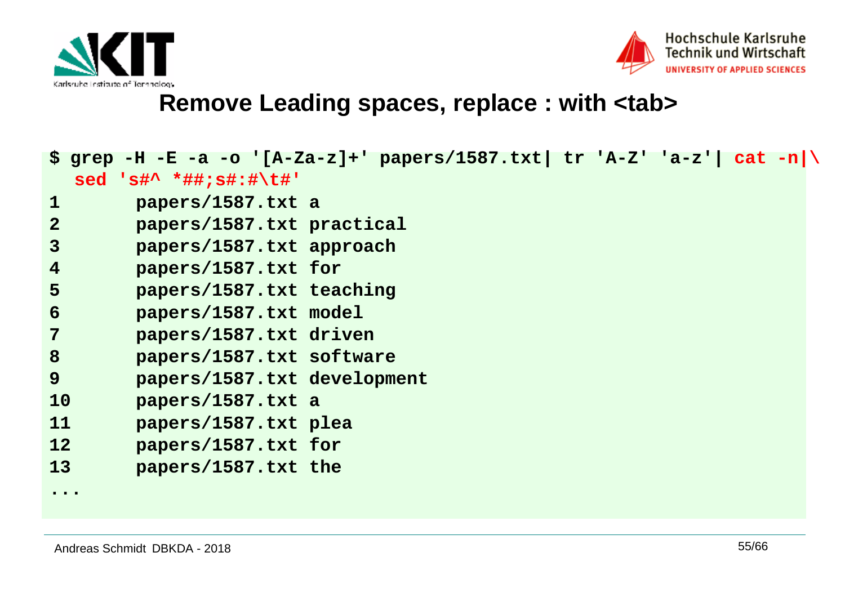



#### **Remove Leading spaces, replace : with <tab>**

|                                                                          | \$ grep -H -E -a -o '[A-Za-z]+' papers/1587.txt  tr 'A-Z' 'a-z'  cat -n \ |  |  |  |
|--------------------------------------------------------------------------|---------------------------------------------------------------------------|--|--|--|
|                                                                          | sed 's#^ *##;s#:#\t#'                                                     |  |  |  |
| $\mathbf 1$                                                              | papers/1587.txt a                                                         |  |  |  |
| $\overline{2}$                                                           | papers/1587.txt practical                                                 |  |  |  |
| $\overline{3}$                                                           | papers/1587.txt approach                                                  |  |  |  |
| $\overline{4}$                                                           | papers/1587.txt for                                                       |  |  |  |
| 5                                                                        | papers/1587.txt teaching                                                  |  |  |  |
| 6                                                                        | papers/1587.txt model                                                     |  |  |  |
| $\overline{7}$                                                           | papers/1587.txt driven                                                    |  |  |  |
| 8                                                                        | papers/1587.txt software                                                  |  |  |  |
| 9                                                                        | papers/1587.txt development                                               |  |  |  |
| 10                                                                       | papers/1587.txt a                                                         |  |  |  |
| 11                                                                       | papers/1587.txt plea                                                      |  |  |  |
| 12                                                                       | papers/1587.txt for                                                       |  |  |  |
| 13                                                                       | papers/1587.txt the                                                       |  |  |  |
| $\bullet\hspace{0.4mm}\bullet\hspace{0.4mm}\bullet\hspace{0.4mm}\bullet$ |                                                                           |  |  |  |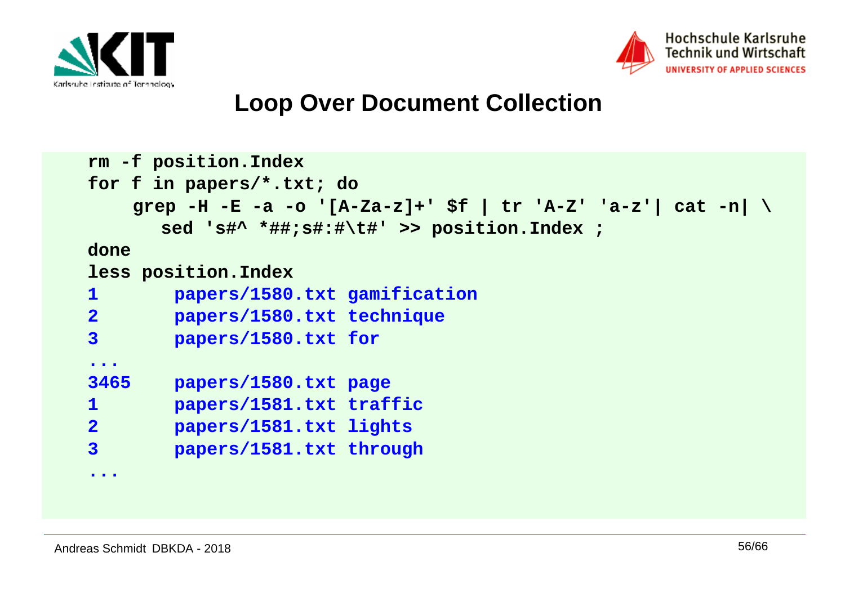



#### **Loop Over Document Collection**

```
rm -f position.Index
for f in papers/*.txt; do 
grep -H -E -a -o '[A-Za-z]+' $f | tr 'A-Z' 'a-z'| cat -n| \sed 's#^ *##;s#:#\t#' >> position.Index ; done
less position.Index
1 papers/1580.txt gamification2 papers/1580.txt technique3 papers/1580.txt for...3465
       3465 papers/1580.txt page
1 papers/1581.txt traffic
2 papers/1581.txt lights
3 papers/1581.txt through...
```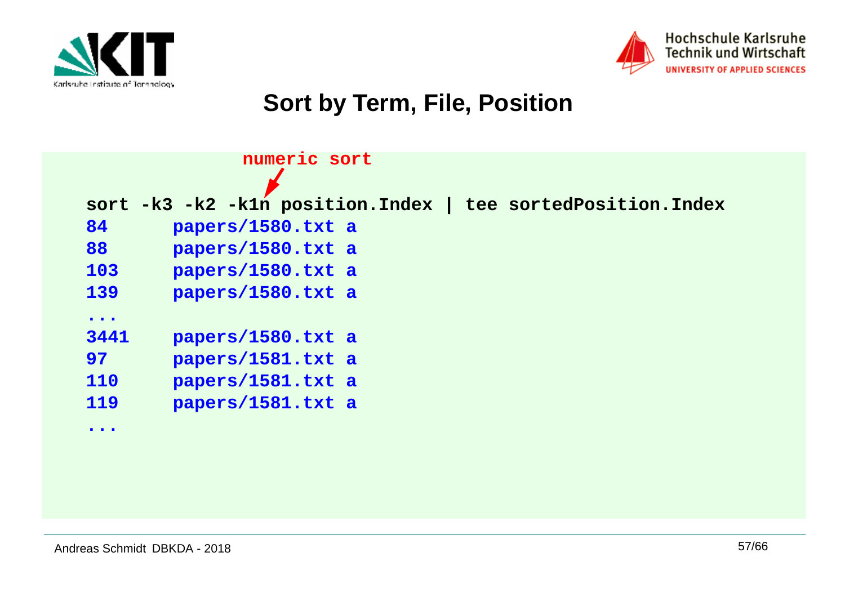



## **Sort by Term, File, Position**

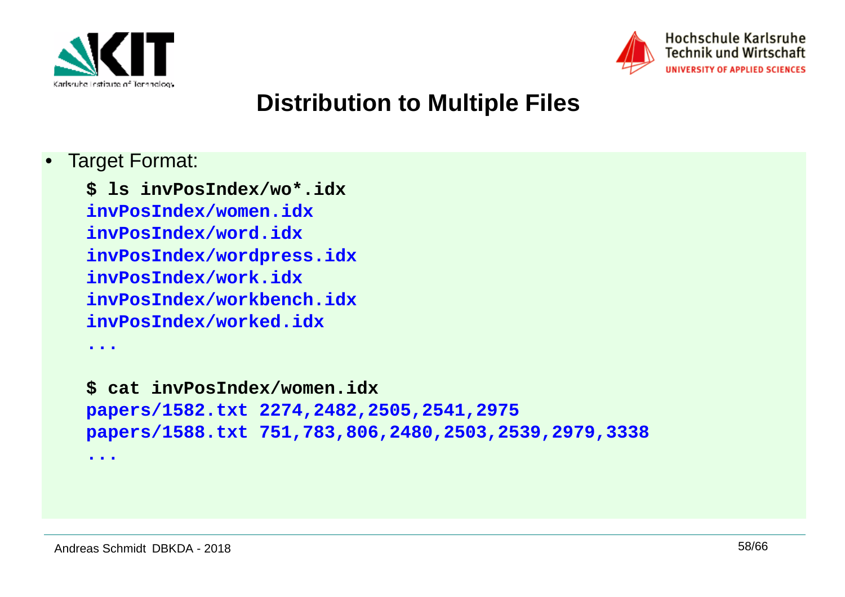



## **Distribution to Multiple Files**

•Target Format:

> **\$ ls invPosIndex/wo\*.idxinvPosIndex/women.idx invPosIndex/word.idx invPosIndex/wordpress.idxinvPosIndex/work.idx invPosIndex/workbench.idxinvPosIndex/worked.idx**

**...**

**...**

**\$ cat invPosIndex/women.idx papers/1582.txt 2274,2482,2505,2541,2975papers/1588.txt 751,783,806,2480,2503,2539,2979,3338**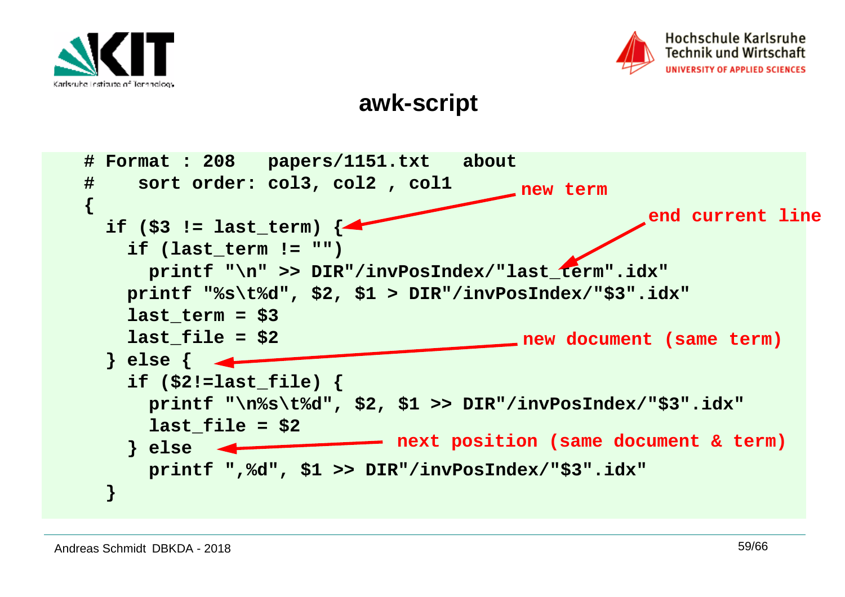



#### **awk-script**

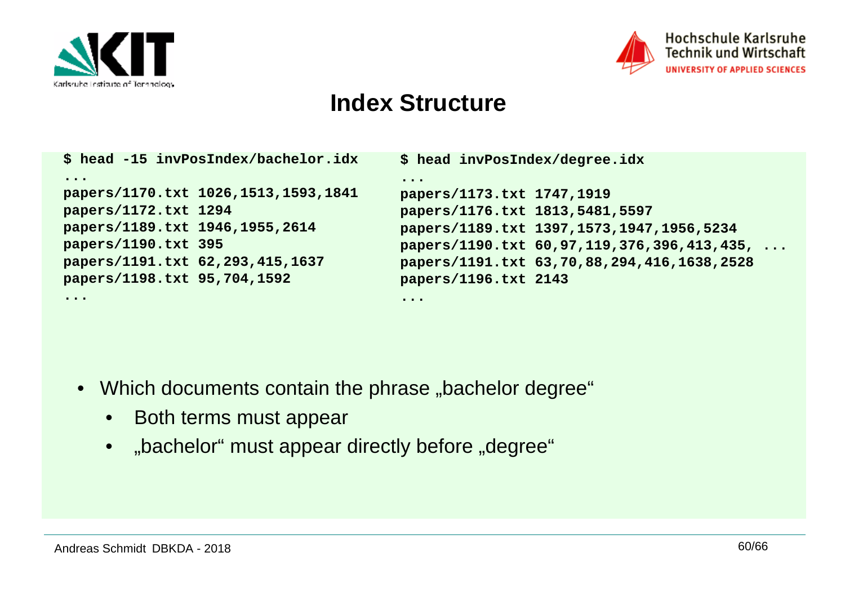

**...**



#### **Index Structure**

|                                     | \$ head -15 invPosIndex/bachelor.idx | \$ head invPosIndex/degree.idx                                           |                                            |
|-------------------------------------|--------------------------------------|--------------------------------------------------------------------------|--------------------------------------------|
| $\bullet\bullet\bullet\bullet$      |                                      | $\bullet\hspace{0.4mm}\bullet\hspace{0.4mm}\bullet\hspace{0.4mm}\bullet$ |                                            |
| papers/1170.txt 1026,1513,1593,1841 |                                      | papers/1173.txt 1747,1919                                                |                                            |
| papers/1172.txt 1294                |                                      | papers/1176.txt 1813,5481,5597                                           |                                            |
| papers/1189.txt 1946,1955,2614      |                                      |                                                                          | papers/1189.txt 1397,1573,1947,1956,5234   |
| papers/1190.txt 395                 |                                      |                                                                          | papers/1190.txt 60,97,119,376,396,413,435, |
| papers/1191.txt 62,293,415,1637     |                                      |                                                                          | papers/1191.txt 63,70,88,294,416,1638,2528 |
| papers/1198.txt 95,704,1592         |                                      | papers/1196.txt 2143                                                     |                                            |

**...**

- $\bullet~$  Which documents contain the phrase "bachelor degree"
	- $\bullet$ Both terms must appear
	- $\bullet$ "bachelor" must appear directly before "degree"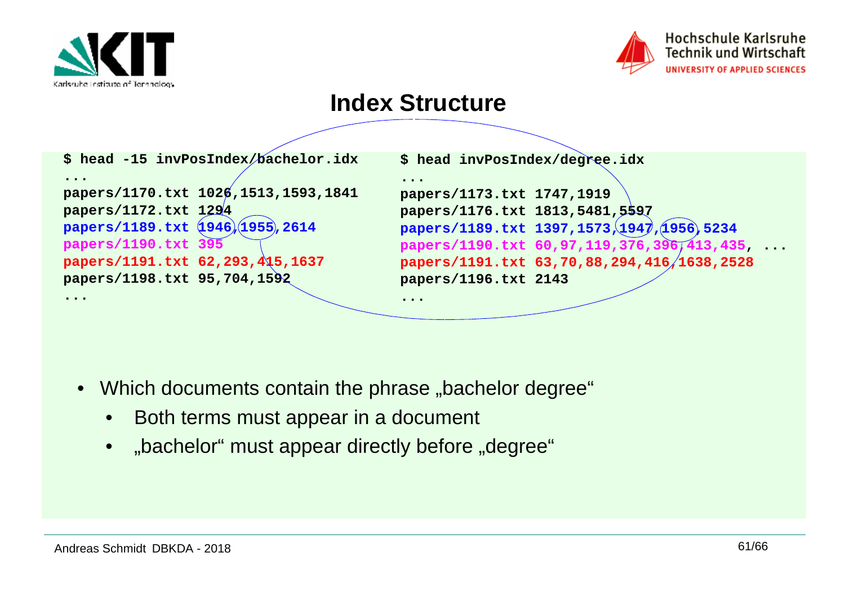



#### **Index Structure**

| \$ head -15 invPosIndex/bachelor.idx                                      | \$ head invPosIndex/degree.idx                                            |                                            |
|---------------------------------------------------------------------------|---------------------------------------------------------------------------|--------------------------------------------|
| $\bullet\hspace{0.1cm} \bullet\hspace{0.1cm}\bullet\hspace{0.1cm}\bullet$ | $\bullet\hspace{0.1cm} \bullet\hspace{0.1cm}\bullet\hspace{0.1cm}\bullet$ |                                            |
| papers/1170.txt 1026,1513,1593,1841                                       | papers/1173.txt 1747,1919                                                 |                                            |
| papers/1172.txt 1294                                                      | papers/1176.txt 1813,5481,5597                                            |                                            |
| papers/1189.txt (1946)(1955), 2614                                        |                                                                           | papers/1189.txt 1397,1573,1947,1956,5234   |
| papers/1190.txt 395                                                       |                                                                           | papers/1190.txt 60,97,119,376,396,413,435  |
| papers/1191.txt 62,293,415,1637                                           |                                                                           | papers/1191.txt 63,70,88,294,416/1638,2528 |
| papers/1198.txt 95,704,1592                                               | papers/1196.txt 2143                                                      |                                            |
| $\bullet\hspace{0.4mm}\bullet\hspace{0.4mm}\bullet\hspace{0.4mm}\bullet$  | .                                                                         |                                            |

- $\bullet~$  Which documents contain the phrase "bachelor degree"
	- $\bullet$ Both terms must appear in a document
	- •"bachelor" must appear directly before "degree"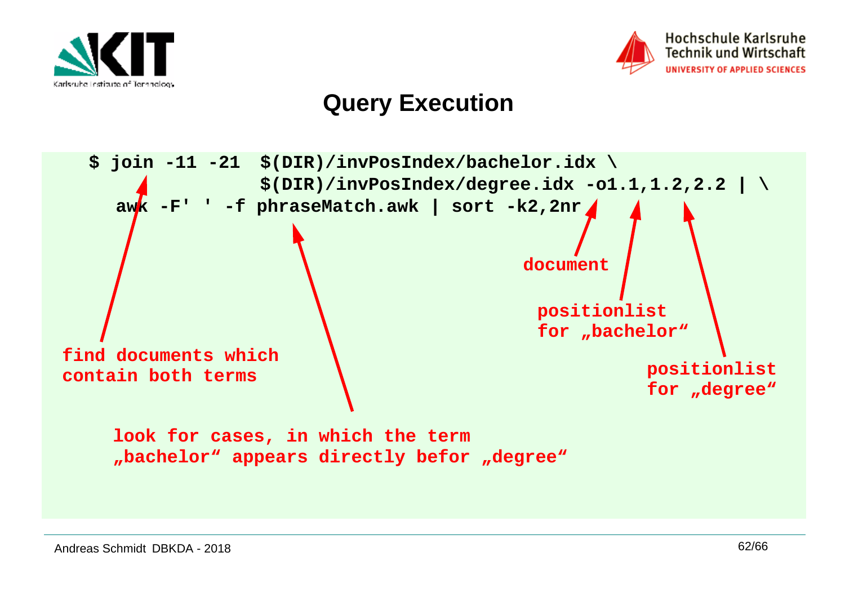



## **Query Execution**

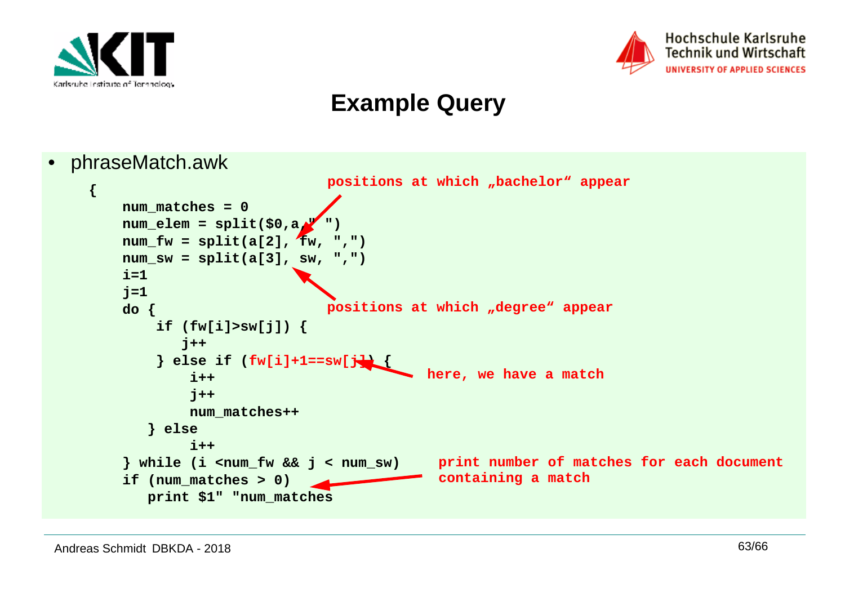



## **Example Query**

• phraseMatch.awk

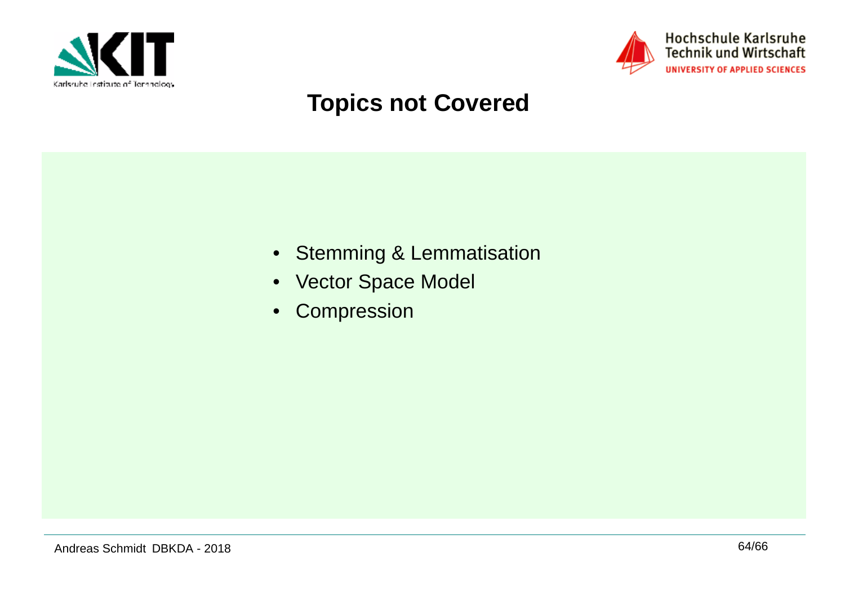



## **Topics not Covered**

- Stemming & Lemmatisation
- Vector Space Model
- $\bullet$ Compression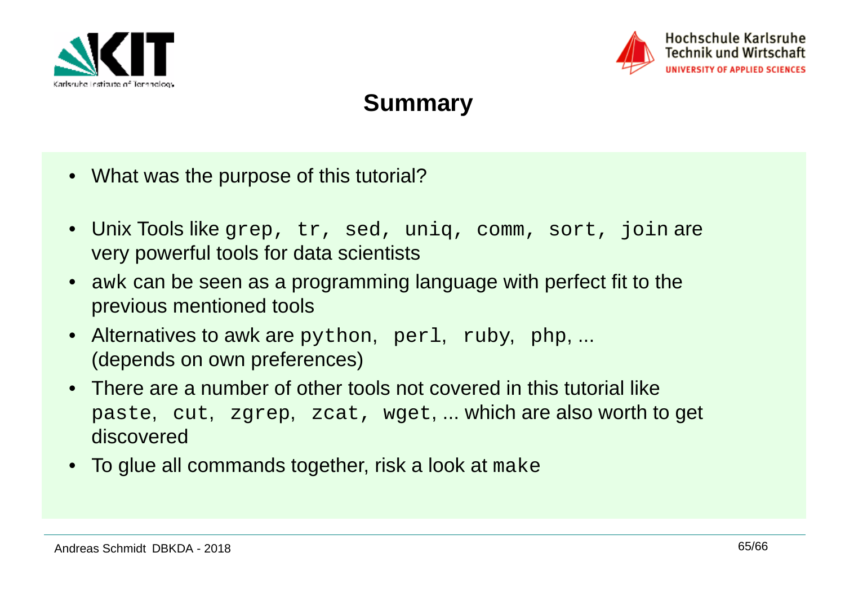



## **Summary**

- What was the purpose of this tutorial?
- Unix Tools like grep, tr, sed, uniq, comm, sort, join are very powerful tools for data scientists
- awk can be seen as a programming language with perfect fit to the previous mentioned tools
- Alternatives to awk are python, perl, ruby, php, ... (depends on own preferences)
- There are a number of other tools not covered in this tutorial like paste, cut, zgrep, zcat, wget, ... which are also worth to get discovered
- $\bullet~$  To glue all commands together, risk a look at  $\texttt{make}$